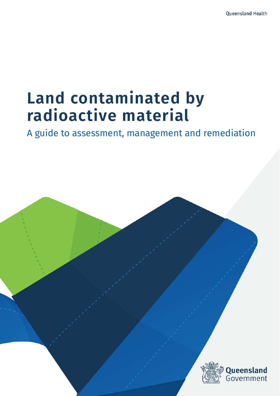# **Land contaminated by radioactive material**

A guide to assessment, management and remediation

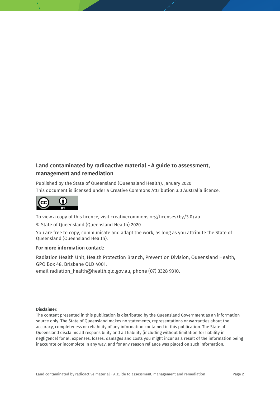### **Land contaminated by radioactive material - A guide to assessment, management and remediation**

Published by the State of Queensland (Queensland Health), January 2020 This document is licensed under a Creative Commons Attribution 3.0 Australia licence.



To view a copy of this licence, visit creativecommons.org/licenses/by/3.0/au © State of Queensland (Queensland Health) 2020

You are free to copy, communicate and adapt the work, as long as you attribute the State of Queensland (Queensland Health).

#### **For more information contact:**

Radiation Health Unit, Health Protection Branch, Prevention Division, Queensland Health, GPO Box 48, Brisbane QLD 4001,

email radiation\_health@health.qld.gov.au, phone (07) 3328 9310.

#### **Disclaimer:**

The content presented in this publication is distributed by the Queensland Government as an information source only. The State of Queensland makes no statements, representations or warranties about the accuracy, completeness or reliability of any information contained in this publication. The State of Queensland disclaims all responsibility and all liability (including without limitation for liability in negligence) for all expenses, losses, damages and costs you might incur as a result of the information being inaccurate or incomplete in any way, and for any reason reliance was placed on such information.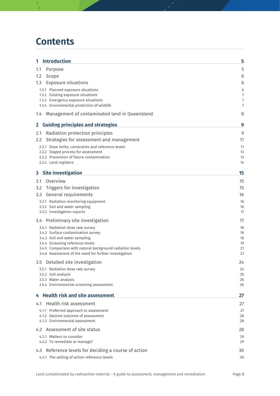## **Contents**

| 1 Introduction                                                                    | 5        |
|-----------------------------------------------------------------------------------|----------|
| 1.1<br>Purpose                                                                    | 5        |
| $1.2^{\circ}$<br>Scope                                                            | 6        |
| 1.3 Exposure situations                                                           | 6        |
| 1.3.1 Planned exposure situations                                                 | 6        |
| 1.3.2 Existing exposure situations                                                | 7        |
| 1.3.3 Emergency exposure situations<br>1.3.4 Environmental protection of wildlife | 7<br>7   |
| Management of contaminated land in Queensland<br>1.4                              | 8        |
| 2 Guiding principles and strategies                                               | 9        |
| Radiation protection principles<br>2.1                                            | 9        |
| Strategies for assessment and management<br>$2.2^{\circ}$                         | 11       |
| 2.2.1 Dose limits, constraints and reference levels                               | 11       |
| 2.2.2 Staged process for assessment                                               | 12       |
| 2.2.3 Prevention of future contamination                                          | 13       |
| 2.2.4 Land registers                                                              | 14       |
| 3 Site investigation                                                              | 15       |
| Overview<br>3.1                                                                   | 15       |
| Triggers for investigation<br>3.2                                                 | 15       |
| General requirements<br>3.3 <sub>1</sub>                                          | 16       |
| 3.3.1 Radiation monitoring equipment                                              | 16       |
| 3.3.2 Soil and water sampling<br>3.3.3 Investigation reports                      | 16<br>17 |
|                                                                                   |          |
| 3.4 Preliminary site investigation                                                | 17       |
| 3.4.1 Radiation dose rate survey<br>3.4.2 Surface contamination survey            | 18<br>18 |
| 3.4.3 Soil and water sampling                                                     | 18       |
| 3.4.4 Screening reference levels                                                  | 19       |
| 3.4.5 Comparison with natural background radiation levels                         | 21       |
| 3.4.6 Assessment of the need for further investigation                            | 21       |
| 3.5 Detailed site investigation                                                   | 24       |
| 3.5.1 Radiation dose rate survey<br>3.5.2 Soil analysis                           | 24<br>25 |
| 3.5.3 Water analysis                                                              | 26       |
| 3.5.4 Environmental screening assessment                                          | 26       |
| 4 Health risk and site assessment                                                 | 27       |
| 4.1 Health risk assessment                                                        | 27       |
| 4.1.1 Preferred approach to assessment                                            | 27       |
| 4.1.2 Desired outcome of assessment                                               | 28       |
| 4.1.3 Environmental assessment                                                    | 28       |
| 4.2 Assessment of site status                                                     | 28       |
| 4.2.1 Matters to consider<br>4.2.2 To remediate or manage?                        | 29<br>29 |
|                                                                                   |          |
| 4.3 Reference levels for deciding a course of action                              | 30       |
| 4.3.1 The setting of action reference levels                                      | 30       |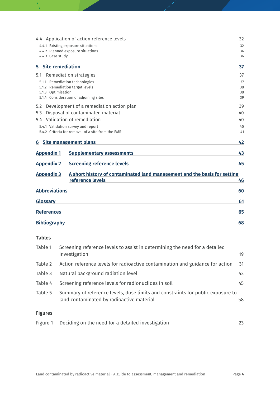|                                 | 4.4 Application of action reference levels                                | 32 |
|---------------------------------|---------------------------------------------------------------------------|----|
|                                 | 4.4.1 Existing exposure situations                                        | 32 |
|                                 | 4.4.2 Planned exposure situations                                         | 34 |
| 4.4.3 Case study                |                                                                           | 36 |
| <b>Site remediation</b><br>5.   |                                                                           | 37 |
| 5.1                             | Remediation strategies                                                    | 37 |
| 5.1.1 Remediation technologies  |                                                                           | 37 |
| 5.1.2 Remediation target levels |                                                                           | 38 |
| 5.1.3 Optimisation              |                                                                           | 38 |
|                                 | 5.1.4 Consideration of adjoining sites                                    | 39 |
| 5.2                             | Development of a remediation action plan                                  | 39 |
| 5.3                             | Disposal of contaminated material                                         | 40 |
|                                 | 5.4 Validation of remediation                                             | 40 |
|                                 | 5.4.1 Validation survey and report                                        | 40 |
|                                 | 5.4.2 Criteria for removal of a site from the EMR                         | 41 |
| 6 Site management plans         |                                                                           | 42 |
| <b>Appendix 1</b>               | <b>Supplementary assessments</b>                                          | 43 |
| <b>Appendix 2</b>               | <b>Screening reference levels</b>                                         | 45 |
| <b>Appendix 3</b>               | A short history of contaminated land management and the basis for setting |    |
|                                 | reference levels                                                          | 46 |
| <b>Abbreviations</b>            |                                                                           | 60 |
| <b>Glossary</b>                 |                                                                           | 61 |
| <b>References</b>               |                                                                           | 65 |
| <b>Bibliography</b>             |                                                                           | 68 |
|                                 |                                                                           |    |

### **Tables**

| Table 1        | Screening reference levels to assist in determining the need for a detailed<br>investigation                                 | 19 |
|----------------|------------------------------------------------------------------------------------------------------------------------------|----|
| Table 2        | Action reference levels for radioactive contamination and guidance for action                                                | 31 |
| Table 3        | Natural background radiation level                                                                                           | 43 |
| Table 4        | Screening reference levels for radionuclides in soil                                                                         | 45 |
| Table 5        | Summary of reference levels, dose limits and constraints for public exposure to<br>land contaminated by radioactive material | 58 |
| <b>Figures</b> |                                                                                                                              |    |
| Figure 1       | Deciding on the need for a detailed investigation                                                                            | 23 |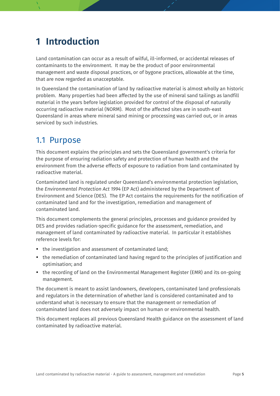## <span id="page-4-0"></span>**1 Introduction**

Land contamination can occur as a result of wilful, ill-informed, or accidental releases of contaminants to the environment. It may be the product of poor environmental management and waste disposal practices, or of bygone practices, allowable at the time, that are now regarded as unacceptable.

In Queensland the contamination of land by radioactive material is almost wholly an historic problem. Many properties had been affected by the use of mineral sand tailings as landfill material in the years before legislation provided for control of the disposal of naturally occurring radioactive material (NORM). Most of the affected sites are in south-east Queensland in areas where mineral sand mining or processing was carried out, or in areas serviced by such industries.

### <span id="page-4-1"></span>1.1 Purpose

This document explains the principles and sets the Queensland government's criteria for the purpose of ensuring radiation safety and protection of human health and the environment from the adverse effects of exposure to radiation from land contaminated by radioactive material.

Contaminated land is regulated under Queensland's environmental protection legislation, the *Environmental Protection Act 1994* (EP Act) administered by the Department of Environment and Science (DES). The EP Act contains the requirements for the notification of contaminated land and for the investigation, remediation and management of contaminated land.

This document complements the general principles, processes and guidance provided by DES and provides radiation-specific guidance for the assessment, remediation, and management of land contaminated by radioactive material. In particular it establishes reference levels for:

- the investigation and assessment of contaminated land;
- the remediation of contaminated land having regard to the principles of justification and optimisation; and
- the recording of land on the Environmental Management Register (EMR) and its on-going management.

The document is meant to assist landowners, developers, contaminated land professionals and regulators in the determination of whether land is considered contaminated and to understand what is necessary to ensure that the management or remediation of contaminated land does not adversely impact on human or environmental health.

This document replaces all previous Queensland Health guidance on the assessment of land contaminated by radioactive material.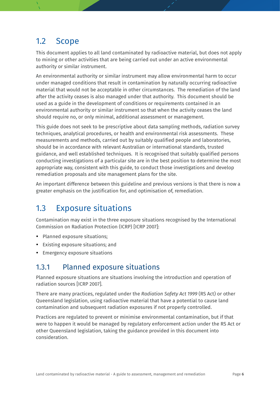### <span id="page-5-0"></span>1.2 Scope

This document applies to all land contaminated by radioactive material, but does not apply to mining or other activities that are being carried out under an active environmental authority or similar instrument.

An environmental authority or similar instrument may allow environmental harm to occur under managed conditions that result in contamination by naturally occurring radioactive material that would not be acceptable in other circumstances. The remediation of the land after the activity ceases is also managed under that authority. This document should be used as a guide in the development of conditions or requirements contained in an environmental authority or similar instrument so that when the activity ceases the land should require no, or only minimal, additional assessment or management.

This guide does not seek to be prescriptive about data sampling methods, radiation survey techniques, analytical procedures, or health and environmental risk assessments. These measurements and methods, carried out by suitably qualified people and laboratories, should be in accordance with relevant Australian or international standards, trusted guidance, and well established techniques. It is recognised that suitably qualified persons conducting investigations of a particular site are in the best position to determine the most appropriate way, consistent with this guide, to conduct those investigations and develop remediation proposals and site management plans for the site.

An important difference between this guideline and previous versions is that there is now a greater emphasis on the justification for, and optimisation of, remediation.

### <span id="page-5-1"></span>1.3 Exposure situations

Contamination may exist in the three exposure situations recognised by the International Commission on Radiation Protection (ICRP) [ICRP 2007]:

- Planned exposure situations:
- Existing exposure situations; and
- Emergency exposure situations

### <span id="page-5-2"></span>1.3.1 Planned exposure situations

Planned exposure situations are situations involving the introduction and operation of radiation sources [ICRP 2007].

There are many practices, regulated under the *Radiation Safety Act 1999* (RS Act) or other Queensland legislation, using radioactive material that have a potential to cause land contamination and subsequent radiation exposures if not properly controlled.

Practices are regulated to prevent or minimise environmental contamination, but if that were to happen it would be managed by regulatory enforcement action under the RS Act or other Queensland legislation, taking the guidance provided in this document into consideration.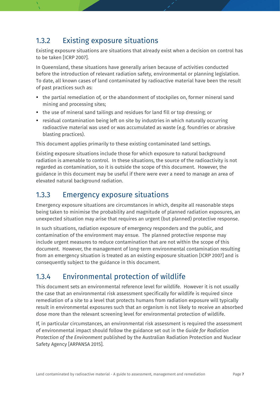### <span id="page-6-0"></span>1.3.2 Existing exposure situations

Existing exposure situations are situations that already exist when a decision on control has to be taken [ICRP 2007].

In Queensland, these situations have generally arisen because of activities conducted before the introduction of relevant radiation safety, environmental or planning legislation. To date, all known cases of land contaminated by radioactive material have been the result of past practices such as:

- the partial remediation of, or the abandonment of stockpiles on, former mineral sand mining and processing sites;
- the use of mineral sand tailings and residues for land fill or top dressing; or
- residual contamination being left on site by industries in which naturally occurring radioactive material was used or was accumulated as waste (e.g. foundries or abrasive blasting practices).

This document applies primarily to these existing contaminated land settings.

Existing exposure situations include those for which exposure to natural background radiation is amenable to control. In these situations, the source of the radioactivity is not regarded as contamination, so it is outside the scope of this document. However, the guidance in this document may be useful if there were ever a need to manage an area of elevated natural background radiation.

### <span id="page-6-1"></span>1.3.3 Emergency exposure situations

Emergency exposure situations are circumstances in which, despite all reasonable steps being taken to minimise the probability and magnitude of planned radiation exposures, an unexpected situation may arise that requires an urgent (but planned) protective response.

In such situations, radiation exposure of emergency responders and the public, and contamination of the environment may ensue. The planned protective response may include urgent measures to reduce contamination that are not within the scope of this document. However, the management of long-term environmental contamination resulting from an emergency situation is treated as an existing exposure situation [ICRP 2007] and is consequently subject to the guidance in this document.

### <span id="page-6-2"></span>1.3.4 Environmental protection of wildlife

This document sets an environmental reference level for wildlife. However it is not usually the case that an environmental risk assessment specifically for wildlife is required since remediation of a site to a level that protects humans from radiation exposure will typically result in environmental exposures such that an organism is not likely to receive an absorbed dose more than the relevant screening level for environmental protection of wildlife.

If, in particular circumstances, an environmental risk assessment is required the assessment of environmental impact should follow the guidance set out in the *Guide for Radiation Protection of the Environment* published by the Australian Radiation Protection and Nuclear Safety Agency [ARPANSA 2015].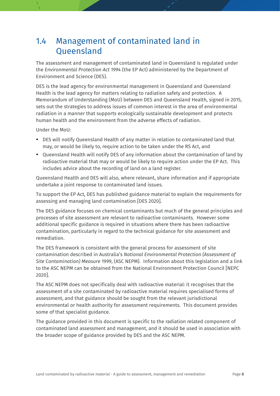### <span id="page-7-0"></span>1.4 Management of contaminated land in Queensland

The assessment and management of contaminated land in Queensland is regulated under the *Environmental Protection Act 1994* (the EP Act) administered by the Department of Environment and Science (DES).

DES is the lead agency for environmental management in Queensland and Queensland Health is the lead agency for matters relating to radiation safety and protection. A Memorandum of Understanding (MoU) between DES and Queensland Health, signed in 2015, sets out the strategies to address issues of common interest in the area of environmental radiation in a manner that supports ecologically sustainable development and protects human health and the environment from the adverse effects of radiation.

Under the MoU:

- DES will notify Queensland Health of any matter in relation to contaminated land that may, or would be likely to, require action to be taken under the RS Act, and
- Queensland Health will notify DES of any information about the contamination of land by radioactive material that may or would be likely to require action under the EP Act. This includes advice about the recording of land on a land register.

Queensland Health and DES will also, where relevant, share information and if appropriate undertake a joint response to contaminated land issues.

To support the EP Act, DES has published guidance material to explain the requirements for assessing and managing land contamination [DES 2020].

The DES guidance focuses on chemical contaminants but much of the general principles and processes of site assessment are relevant to radioactive contaminants. However some additional specific guidance is required in situations where there has been radioactive contamination, particularly in regard to the technical guidance for site assessment and remediation.

The DES framework is consistent with the general process for assessment of site contamination described in Australia's *National Environmental Protection (Assessment of Site Contamination) Measure 1999*, (ASC NEPM). Information about this legislation and a link to the ASC NEPM can be obtained from the National Environment Protection Council [NEPC 2020].

The ASC NEPM does not specifically deal with radioactive material: it recognises that the assessment of a site contaminated by radioactive material requires specialised forms of assessment, and that guidance should be sought from the relevant jurisdictional environmental or health authority for assessment requirements. This document provides some of that specialist guidance.

The guidance provided in this document is specific to the radiation related component of contaminated land assessment and management, and it should be used in association with the broader scope of guidance provided by DES and the ASC NEPM.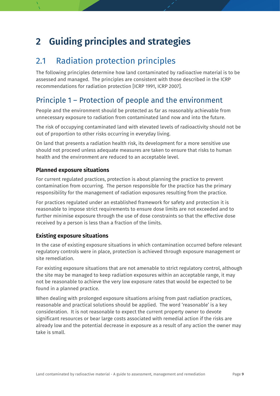## <span id="page-8-0"></span>**2 Guiding principles and strategies**

### <span id="page-8-1"></span>2.1 Radiation protection principles

The following principles determine how land contaminated by radioactive material is to be assessed and managed. The principles are consistent with those described in the ICRP recommendations for radiation protection [ICRP 1991, ICRP 2007].

### Principle 1 – Protection of people and the environment

People and the environment should be protected as far as reasonably achievable from unnecessary exposure to radiation from contaminated land now and into the future.

The risk of occupying contaminated land with elevated levels of radioactivity should not be out of proportion to other risks occurring in everyday living.

On land that presents a radiation health risk, its development for a more sensitive use should not proceed unless adequate measures are taken to ensure that risks to human health and the environment are reduced to an acceptable level.

### **Planned exposure situations**

For current regulated practices, protection is about planning the practice to prevent contamination from occurring. The person responsible for the practice has the primary responsibility for the management of radiation exposures resulting from the practice.

For practices regulated under an established framework for safety and protection it is reasonable to impose strict requirements to ensure dose limits are not exceeded and to further minimise exposure through the use of dose constraints so that the effective dose received by a person is less than a fraction of the limits.

### **Existing exposure situations**

In the case of existing exposure situations in which contamination occurred before relevant regulatory controls were in place, protection is achieved through exposure management or site remediation.

For existing exposure situations that are not amenable to strict regulatory control, although the site may be managed to keep radiation exposures within an acceptable range, it may not be reasonable to achieve the very low exposure rates that would be expected to be found in a planned practice.

When dealing with prolonged exposure situations arising from past radiation practices, reasonable and practical solutions should be applied. The word 'reasonable' is a key consideration. It is not reasonable to expect the current property owner to devote significant resources or bear large costs associated with remedial action if the risks are already low and the potential decrease in exposure as a result of any action the owner may take is small.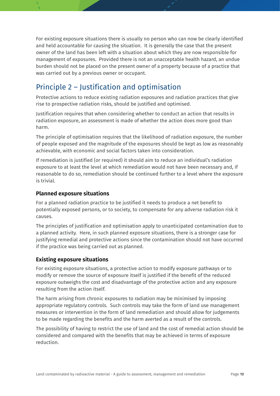For existing exposure situations there is usually no person who can now be clearly identified and held accountable for causing the situation. It is generally the case that the present owner of the land has been left with a situation about which they are now responsible for management of exposures. Provided there is not an unacceptable health hazard, an undue burden should not be placed on the present owner of a property because of a practice that was carried out by a previous owner or occupant.

### Principle 2 – Justification and optimisation

Protective actions to reduce existing radiation exposures and radiation practices that give rise to prospective radiation risks, should be justified and optimised.

Justification requires that when considering whether to conduct an action that results in radiation exposure, an assessment is made of whether the action does more good than harm.

The principle of optimisation requires that the likelihood of radiation exposure, the number of people exposed and the magnitude of the exposures should be kept as low as reasonably achievable, with economic and social factors taken into consideration.

If remediation is justified (or required) it should aim to reduce an individual's radiation exposure to at least the level at which remediation would not have been necessary and, if reasonable to do so, remediation should be continued further to a level where the exposure is trivial.

### **Planned exposure situations**

For a planned radiation practice to be justified it needs to produce a net benefit to potentially exposed persons, or to society, to compensate for any adverse radiation risk it causes.

The principles of justification and optimisation apply to unanticipated contamination due to a planned activity. Here, in such planned exposure situations, there is a stronger case for justifying remedial and protective actions since the contamination should not have occurred if the practice was being carried out as planned.

### **Existing exposure situations**

For existing exposure situations, a protective action to modify exposure pathways or to modify or remove the source of exposure itself is justified if the benefit of the reduced exposure outweighs the cost and disadvantage of the protective action and any exposure resulting from the action itself.

The harm arising from chronic exposures to radiation may be minimised by imposing appropriate regulatory controls. Such controls may take the form of land use management measures or intervention in the form of land remediation and should allow for judgements to be made regarding the benefits and the harm averted as a result of the controls.

The possibility of having to restrict the use of land and the cost of remedial action should be considered and compared with the benefits that may be achieved in terms of exposure reduction.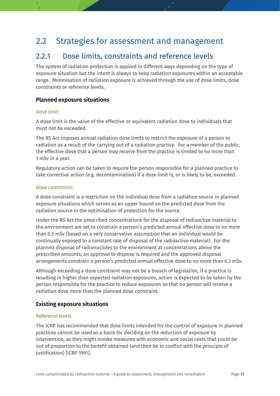### <span id="page-10-0"></span>2.2 Strategies for assessment and management

### <span id="page-10-1"></span>2.2.1 Dose limits, constraints and reference levels

The system of radiation protection is applied in different ways depending on the type of exposure situation but the intent is always to keep radiation exposures within an acceptable range. Minimisation of radiation exposure is achieved through the use of dose limits, dose constraints or reference levels.

#### **Planned exposure situations**

#### *Dose limit*

A dose limit is the value of the effective or equivalent radiation dose to individuals that must not be exceeded.

The RS Act imposes annual radiation dose limits to restrict the exposure of a person to radiation as a result of the carrying out of a radiation practice. For a member of the public, the effective dose that a person may receive from the practice is limited to no more than 1 mSv in a year.

Regulatory action can be taken to require the person responsible for a planned practice to take corrective action (e.g. decontamination) if a dose limit is, or is likely to be, exceeded.

#### *Dose constraints*

A dose constraint is a restriction on the individual dose from a radiation source in planned exposure situations which serves as an upper bound on the predicted dose from the radiation source in the optimisation of protection for the source.

Under the RS Act the prescribed concentrations for the disposal of radioactive material to the environment are set to constrain a person's predicted annual effective dose to no more than 0.5 mSv (based on a very conservative assumption that an individual would be continually exposed to a constant rate of disposal of the radioactive material). For the planned disposal of radionuclides to the environment at concentrations above the prescribed amounts, an approval to dispose is required and the approved disposal arrangements constrain a person's predicted annual effective dose to no more than 0.3 mSv.

Although exceeding a dose constraint may not be a breach of legislation, if a practice is resulting in higher than expected radiation exposures, action is expected to be taken by the person responsible for the practice to reduce exposures so that no person will receive a radiation dose more than the planned dose constraint.

#### **Existing exposure situations**

#### *Reference levels*

The ICRP has recommended that dose limits intended for the control of exposure in planned practices cannot be used as a basis for deciding on the reduction of exposure by intervention, as they might invoke measures with economic and social costs that could be out of proportion to the benefit obtained (and then be in conflict with the principle of justification) [ICRP 1991].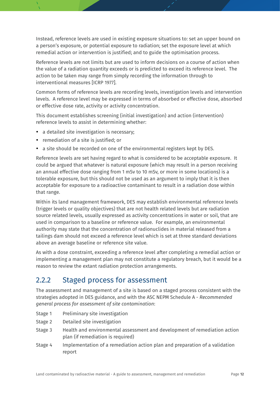Instead, reference levels are used in existing exposure situations to: set an upper bound on a person's exposure, or potential exposure to radiation; set the exposure level at which remedial action or intervention is justified; and to guide the optimisation process.

Reference levels are not limits but are used to inform decisions on a course of action when the value of a radiation quantity exceeds or is predicted to exceed its reference level. The action to be taken may range from simply recording the information through to interventional measures [ICRP 1977].

Common forms of reference levels are recording levels, investigation levels and intervention levels. A reference level may be expressed in terms of absorbed or effective dose, absorbed or effective dose rate, activity or activity concentration.

This document establishes screening (initial investigation) and action (intervention) reference levels to assist in determining whether:

- a detailed site investigation is necessary;
- remediation of a site is justified; or
- a site should be recorded on one of the environmental registers kept by DES.

Reference levels are set having regard to what is considered to be acceptable exposure. It could be argued that whatever is natural exposure (which may result in a person receiving an annual effective dose ranging from 1 mSv to 10 mSv, or more in some locations) is a tolerable exposure, but this should not be used as an argument to imply that it is then acceptable for exposure to a radioactive contaminant to result in a radiation dose within that range.

Within its land management framework, DES may establish environmental reference levels (trigger levels or quality objectives) that are not health related levels but are radiation source related levels, usually expressed as activity concentrations in water or soil, that are used in comparison to a baseline or reference value. For example, an environmental authority may state that the concentration of radionuclides in material released from a tailings dam should not exceed a reference level which is set at three standard deviations above an average baseline or reference site value.

As with a dose constraint, exceeding a reference level after completing a remedial action or implementing a management plan may not constitute a regulatory breach, but it would be a reason to review the extant radiation protection arrangements.

### <span id="page-11-0"></span>2.2.2 Staged process for assessment

The assessment and management of a site is based on a staged process consistent with the strategies adopted in DES guidance, and with the ASC NEPM Schedule A - *Recommended general process for assessment of site contamination*:

- Stage 1 Preliminary site investigation
- Stage 2 Detailed site investigation
- Stage 3 Health and environmental assessment and development of remediation action plan (if remediation is required)
- Stage 4 Implementation of a remediation action plan and preparation of a validation report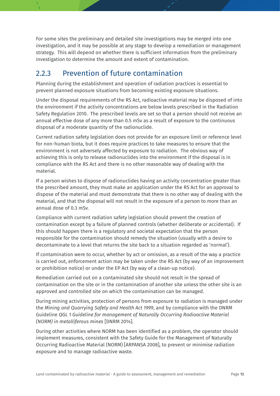For some sites the preliminary and detailed site investigations may be merged into one investigation, and it may be possible at any stage to develop a remediation or management strategy. This will depend on whether there is sufficient information from the preliminary investigation to determine the amount and extent of contamination.

### <span id="page-12-0"></span>2.2.3 Prevention of future contamination

Planning during the establishment and operation of radiation practices is essential to prevent planned exposure situations from becoming existing exposure situations.

Under the disposal requirements of the RS Act, radioactive material may be disposed of into the environment if the activity concentrations are below levels prescribed in the Radiation Safety Regulation 2010. The prescribed levels are set so that a person should not receive an annual effective dose of any more than 0.5 mSv as a result of exposure to the continuous disposal of a moderate quantity of the radionuclide.

Current radiation safety legislation does not provide for an exposure limit or reference level for non-human biota, but it does require practices to take measures to ensure that the environment is not adversely affected by exposure to radiation. The obvious way of achieving this is only to release radionuclides into the environment if the disposal is in compliance with the RS Act and there is no other reasonable way of dealing with the material.

If a person wishes to dispose of radionuclides having an activity concentration greater than the prescribed amount, they must make an application under the RS Act for an approval to dispose of the material and must demonstrate that there is no other way of dealing with the material, and that the disposal will not result in the exposure of a person to more than an annual dose of 0.3 mSv.

Compliance with current radiation safety legislation should prevent the creation of contamination except by a failure of planned controls (whether deliberate or accidental). If this should happen there is a regulatory and societal expectation that the person responsible for the contamination should remedy the situation (usually with a desire to decontaminate to a level that returns the site back to a situation regarded as 'normal').

If contamination were to occur, whether by act or omission, as a result of the way a practice is carried out, enforcement action may be taken under the RS Act (by way of an improvement or prohibition notice) or under the EP Act (by way of a clean-up notice).

Remediation carried out on a contaminated site should not result in the spread of contamination on the site or in the contamination of another site unless the other site is an approved and controlled site on which the contamination can be managed.

During mining activities, protection of persons from exposure to radiation is managed under the *Mining and Quarrying Safety and Health Act 1999*, and by compliance with the DNRM Guideline *QGL 1 Guideline for management of Naturally Occurring Radioactive Material (NORM) in metalliferous mines* [DNRM 2014].

During other activities where NORM has been identified as a problem, the operator should implement measures, consistent with the Safety Guide for the Management of Naturally Occurring Radioactive Material (NORM) [ARPANSA 2008], to prevent or minimise radiation exposure and to manage radioactive waste.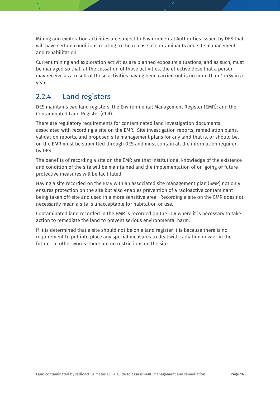Mining and exploration activities are subject to Environmental Authorities issued by DES that will have certain conditions relating to the release of contaminants and site management and rehabilitation.

Current mining and exploration activities are planned exposure situations, and as such, must be managed so that, at the cessation of those activities, the effective dose that a person may receive as a result of those activities having been carried out is no more than 1 mSv in a year.

### <span id="page-13-0"></span>2.2.4 Land registers

DES maintains two land registers: the Environmental Management Register (EMR); and the Contaminated Land Register (CLR).

There are regulatory requirements for contaminated land investigation documents associated with recording a site on the EMR. Site investigation reports, remediation plans, validation reports, and proposed site management plans for any land that is, or should be, on the EMR must be submitted through DES and must contain all the information required by DES.

The benefits of recording a site on the EMR are that institutional knowledge of the existence and condition of the site will be maintained and the implementation of on-going or future protective measures will be facilitated.

Having a site recorded on the EMR with an associated site management plan (SMP) not only ensures protection on the site but also enables prevention of a radioactive contaminant being taken off-site and used in a more sensitive area. Recording a site on the EMR does not necessarily mean a site is unacceptable for habitation or use.

Contaminated land recorded in the EMR is recorded on the CLR where it is necessary to take action to remediate the land to prevent serious environmental harm.

If it is determined that a site should not be on a land register it is because there is no requirement to put into place any special measures to deal with radiation now or in the future. In other words: there are no restrictions on the site.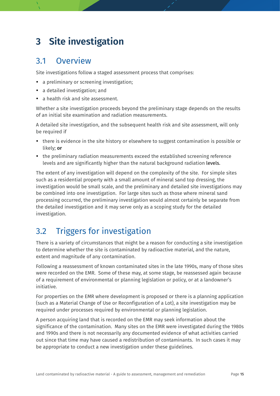## <span id="page-14-0"></span>**3 Site investigation**

### <span id="page-14-1"></span>3.1 Overview

Site investigations follow a staged assessment process that comprises:

- a preliminary or screening investigation;
- a detailed investigation; and
- a health risk and site assessment.

Whether a site investigation proceeds beyond the preliminary stage depends on the results of an initial site examination and radiation measurements.

A detailed site investigation, and the subsequent health risk and site assessment, will only be required if

- there is evidence in the site history or elsewhere to suggest contamination is possible or likely; **or**
- the preliminary radiation measurements exceed the established screening reference levels and are significantly higher than the natural background radiation levels.

The extent of any investigation will depend on the complexity of the site. For simple sites such as a residential property with a small amount of mineral sand top dressing, the investigation would be small scale, and the preliminary and detailed site investigations may be combined into one investigation. For large sites such as those where mineral sand processing occurred, the preliminary investigation would almost certainly be separate from the detailed investigation and it may serve only as a scoping study for the detailed investigation.

## <span id="page-14-2"></span>3.2 Triggers for investigation

There is a variety of circumstances that might be a reason for conducting a site investigation to determine whether the site is contaminated by radioactive material, and the nature, extent and magnitude of any contamination.

Following a reassessment of known contaminated sites in the late 1990s, many of those sites were recorded on the EMR. Some of these may, at some stage, be reassessed again because of a requirement of environmental or planning legislation or policy, or at a landowner's initiative.

For properties on the EMR where development is proposed or there is a planning application (such as a Material Change of Use or Reconfiguration of a Lot), a site investigation may be required under processes required by environmental or planning legislation.

A person acquiring land that is recorded on the EMR may seek information about the significance of the contamination. Many sites on the EMR were investigated during the 1980s and 1990s and there is not necessarily any documented evidence of what activities carried out since that time may have caused a redistribution of contaminants. In such cases it may be appropriate to conduct a new investigation under these guidelines.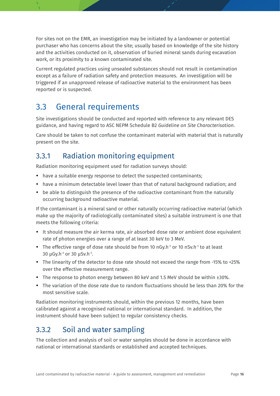For sites not on the EMR, an investigation may be initiated by a landowner or potential purchaser who has concerns about the site; usually based on knowledge of the site history and the activities conducted on it, observation of buried mineral sands during excavation work, or its proximity to a known contaminated site.

Current regulated practices using unsealed substances should not result in contamination except as a failure of radiation safety and protection measures. An investigation will be triggered if an unapproved release of radioactive material to the environment has been reported or is suspected.

## <span id="page-15-0"></span>3.3 General requirements

Site investigations should be conducted and reported with reference to any relevant DES guidance, and having regard to ASC NEPM Schedule B2 *Guideline on Site Characterisation*.

Care should be taken to not confuse the contaminant material with material that is naturally present on the site.

### <span id="page-15-1"></span>3.3.1 Radiation monitoring equipment

Radiation monitoring equipment used for radiation surveys should:

- have a suitable energy response to detect the suspected contaminants;
- have a minimum detectable level lower than that of natural background radiation; and
- be able to distinguish the presence of the radioactive contaminant from the naturally occurring background radioactive material.

If the contaminant is a mineral sand or other naturally occurring radioactive material (which make up the majority of radiologically contaminated sites) a suitable instrument is one that meets the following criteria:

- It should measure the air kerma rate, air absorbed dose rate or ambient dose equivalent rate of photon energies over a range of at least 30 keV to 3 MeV.
- The effective range of dose rate should be from 10 nGy.h<sup>-1</sup> or 10 nSy.h<sup>-1</sup> to at least 30 μGy.h<sup>-1</sup> or 30 μSv.h<sup>-1</sup>.
- The linearity of the detector to dose rate should not exceed the range from -15% to +25% over the effective measurement range.
- The response to photon energy between 80 keV and 1.5 MeV should be within  $\pm 30\%$ .
- The variation of the dose rate due to random fluctuations should be less than 20% for the most sensitive scale.

Radiation monitoring instruments should, within the previous 12 months, have been calibrated against a recognised national or international standard. In addition, the instrument should have been subject to regular consistency checks.

### <span id="page-15-2"></span>3.3.2 Soil and water sampling

The collection and analysis of soil or water samples should be done in accordance with national or international standards or established and accepted techniques.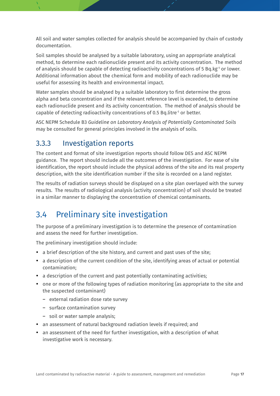All soil and water samples collected for analysis should be accompanied by chain of custody documentation.

Soil samples should be analysed by a suitable laboratory, using an appropriate analytical method, to determine each radionuclide present and its activity concentration. The method of analysis should be capable of detecting radioactivity concentrations of 5 Bq.kg<sup>-1</sup> or lower. Additional information about the chemical form and mobility of each radionuclide may be useful for assessing its health and environmental impact.

Water samples should be analysed by a suitable laboratory to first determine the gross alpha and beta concentration and if the relevant reference level is exceeded, to determine each radionuclide present and its activity concentration. The method of analysis should be capable of detecting radioactivity concentrations of 0.5 Bq.litre-1 or better.

ASC NEPM Schedule B3 *Guideline on Laboratory Analysis of Potentially Contaminated Soils* may be consulted for general principles involved in the analysis of soils.

### <span id="page-16-0"></span>3.3.3 Investigation reports

The content and format of site investigation reports should follow DES and ASC NEPM guidance. The report should include all the outcomes of the investigation. For ease of site identification, the report should include the physical address of the site and its real property description, with the site identification number if the site is recorded on a land register.

The results of radiation surveys should be displayed on a site plan overlayed with the survey results. The results of radiological analysis (activity concentration) of soil should be treated in a similar manner to displaying the concentration of chemical contaminants.

## <span id="page-16-1"></span>3.4 Preliminary site investigation

The purpose of a preliminary investigation is to determine the presence of contamination and assess the need for further investigation.

The preliminary investigation should include:

- a brief description of the site history, and current and past uses of the site;
- a description of the current condition of the site, identifying areas of actual or potential contamination;
- a description of the current and past potentially contaminating activities;
- one or more of the following types of radiation monitoring (as appropriate to the site and the suspected contaminant)
	- external radiation dose rate survey
	- surface contamination survey
	- soil or water sample analysis;
- an assessment of natural background radiation levels if required; and
- an assessment of the need for further investigation, with a description of what investigative work is necessary.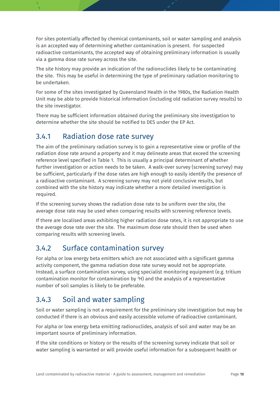For sites potentially affected by chemical contaminants, soil or water sampling and analysis is an accepted way of determining whether contamination is present. For suspected radioactive contaminants, the accepted way of obtaining preliminary information is usually via a gamma dose rate survey across the site.

The site history may provide an indication of the radionuclides likely to be contaminating the site. This may be useful in determining the type of preliminary radiation monitoring to be undertaken.

For some of the sites investigated by Queensland Health in the 1980s, the Radiation Health Unit may be able to provide historical information (including old radiation survey results) to the site investigator.

There may be sufficient information obtained during the preliminary site investigation to determine whether the site should be notified to DES under the EP Act.

### <span id="page-17-0"></span>3.4.1 Radiation dose rate survey

The aim of the preliminary radiation survey is to gain a representative view or profile of the radiation dose rate around a property and it may delineate areas that exceed the screening reference level specified in Table 1. This is usually a principal determinant of whether further investigation or action needs to be taken. A walk-over survey (screening survey) may be sufficient, particularly if the dose rates are high enough to easily identify the presence of a radioactive contaminant. A screening survey may not yield conclusive results, but combined with the site history may indicate whether a more detailed investigation is required.

If the screening survey shows the radiation dose rate to be uniform over the site, the average dose rate may be used when comparing results with screening reference levels.

If there are localised areas exhibiting higher radiation dose rates, it is not appropriate to use the average dose rate over the site. The maximum dose rate should then be used when comparing results with screening levels.

### <span id="page-17-1"></span>3.4.2 Surface contamination survey

For alpha or low energy beta emitters which are not associated with a significant gamma activity component, the gamma radiation dose rate survey would not be appropriate. Instead, a surface contamination survey, using specialist monitoring equipment (e.g. tritium contamination monitor for contamination by 3 H) and the analysis of a representative number of soil samples is likely to be preferable.

### <span id="page-17-2"></span>3.4.3 Soil and water sampling

Soil or water sampling is not a requirement for the preliminary site investigation but may be conducted if there is an obvious and easily accessible volume of radioactive contaminant.

For alpha or low energy beta emitting radionuclides, analysis of soil and water may be an important source of preliminary information.

If the site conditions or history or the results of the screening survey indicate that soil or water sampling is warranted or will provide useful information for a subsequent health or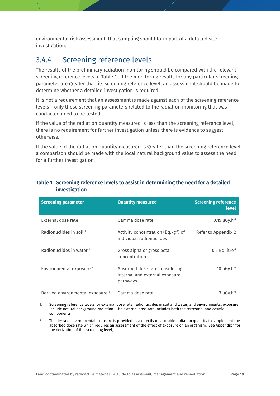environmental risk assessment, that sampling should form part of a detailed site investigation.

### <span id="page-18-0"></span>3.4.4 Screening reference levels

The results of the preliminary radiation monitoring should be compared with the relevant screening reference levels in Table 1. If the monitoring results for any particular screening parameter are greater than its screening reference level, an assessment should be made to determine whether a detailed investigation is required.

It is not a requirement that an assessment is made against each of the screening reference levels – only those screening parameters related to the radiation monitoring that was conducted need to be tested.

If the value of the radiation quantity measured is less than the screening reference level, there is no requirement for further investigation unless there is evidence to suggest otherwise.

If the value of the radiation quantity measured is greater than the screening reference level, a comparison should be made with the local natural background value to assess the need for a further investigation.

| <b>Screening parameter</b>                  | <b>Quantity measured</b>                                                     | <b>Screening reference</b><br><b>level</b> |
|---------------------------------------------|------------------------------------------------------------------------------|--------------------------------------------|
| External dose rate <sup>1</sup>             | Gamma dose rate                                                              | $0.15 \mu Gy \cdot h^{-1}$                 |
| Radionuclides in soil <sup>1</sup>          | Activity concentration (Bq.kg-1) of<br>individual radionuclides              | Refer to Appendix 2                        |
| Radionuclides in water $1$                  | Gross alpha or gross beta<br>concentration                                   | $0.5$ Bq.litre <sup>-1</sup>               |
| Environmental exposure <sup>1</sup>         | Absorbed dose rate considering<br>internal and external exposure<br>pathways | 10 $\mu$ Gy.h <sup>-1</sup>                |
| Derived environmental exposure <sup>2</sup> | Gamma dose rate                                                              | $3 \mu G$ y.h <sup>-1</sup>                |

### <span id="page-18-1"></span>**Table 1 Screening reference levels to assist in determining the need for a detailed investigation**

1. Screening reference levels for external dose rate, radionuclides in soil and water, and environmental exposure include natural background radiation. The external dose rate includes both the terrestrial and cosmic components.

2. The derived environmental exposure is provided as a directly measurable radiation quantity to supplement the absorbed dose rate which requires an assessment of the effect of exposure on an organism. See Appendix 1 for the derivation of this screening level,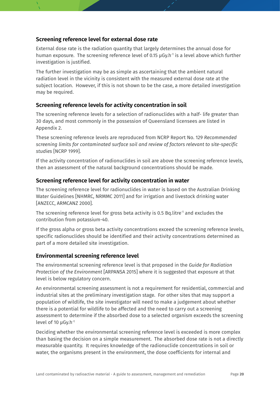### **Screening reference level for external dose rate**

External dose rate is the radiation quantity that largely determines the annual dose for human exposure. The screening reference level of 0.15  $\mu$ Gy.h<sup>-1</sup> is a level above which further investigation is justified.

The further investigation may be as simple as ascertaining that the ambient natural radiation level in the vicinity is consistent with the measured external dose rate at the subject location. However, if this is not shown to be the case, a more detailed investigation may be required.

### **Screening reference levels for activity concentration in soil**

The screening reference levels for a selection of radionuclides with a half- life greater than 30 days, and most commonly in the possession of Queensland licensees are listed in Appendix 2.

These screening reference levels are reproduced from NCRP Report No. 129 *Recommended screening limits for contaminated surface soil and review of factors relevant to site-specific studies* [NCRP 1999].

If the activity concentration of radionuclides in soil are above the screening reference levels, then an assessment of the natural background concentrations should be made.

### **Screening reference level for activity concentration in water**

The screening reference level for radionuclides in water is based on the Australian Drinking Water Guidelines [NHMRC, NRMMC 2011] and for irrigation and livestock drinking water [ANZECC, ARMCANZ 2000].

The screening reference level for gross beta activity is 0.5 Bq. litre<sup>-1</sup> and excludes the contribution from potassium-40.

If the gross alpha or gross beta activity concentrations exceed the screening reference levels, specific radionuclides should be identified and their activity concentrations determined as part of a more detailed site investigation.

### **Environmental screening reference level**

The environmental screening reference level is that proposed in the *Guide for Radiation Protection of the Environment* [ARPANSA 2015] where it is suggested that exposure at that level is below regulatory concern.

An environmental screening assessment is not a requirement for residential, commercial and industrial sites at the preliminary investigation stage. For other sites that may support a population of wildlife, the site investigator will need to make a judgement about whether there is a potential for wildlife to be affected and the need to carry out a screening assessment to determine if the absorbed dose to a selected organism exceeds the screening level of 10 µGy.h-1

Deciding whether the environmental screening reference level is exceeded is more complex than basing the decision on a simple measurement. The absorbed dose rate is not a directly measurable quantity. It requires knowledge of the radionuclide concentrations in soil or water, the organisms present in the environment, the dose coefficients for internal and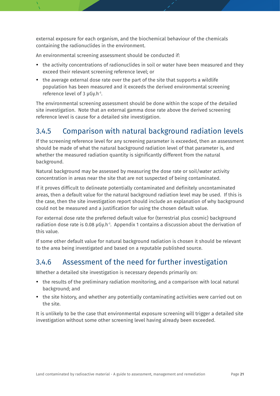external exposure for each organism, and the biochemical behaviour of the chemicals containing the radionuclides in the environment.

An environmental screening assessment should be conducted if:

- the activity concentrations of radionuclides in soil or water have been measured and they exceed their relevant screening reference level; or
- the average external dose rate over the part of the site that supports a wildlife population has been measured and it exceeds the derived environmental screening reference level of 3 µGy.h-1 .

The environmental screening assessment should be done within the scope of the detailed site investigation. Note that an external gamma dose rate above the derived screening reference level is cause for a detailed site investigation.

### <span id="page-20-0"></span>3.4.5 Comparison with natural background radiation levels

If the screening reference level for any screening parameter is exceeded, then an assessment should be made of what the natural background radiation level of that parameter is, and whether the measured radiation quantity is significantly different from the natural background.

Natural background may be assessed by measuring the dose rate or soil/water activity concentration in areas near the site that are not suspected of being contaminated.

If it proves difficult to delineate potentially contaminated and definitely uncontaminated areas, then a default value for the natural background radiation level may be used. If this is the case, then the site investigation report should include an explanation of why background could not be measured and a justification for using the chosen default value.

For external dose rate the preferred default value for (terrestrial plus cosmic) background radiation dose rate is 0.08  $\mu$ Gy.h<sup>-1</sup>. Appendix 1 contains a discussion about the derivation of this value.

If some other default value for natural background radiation is chosen it should be relevant to the area being investigated and based on a reputable published source.

### <span id="page-20-1"></span>3.4.6 Assessment of the need for further investigation

Whether a detailed site investigation is necessary depends primarily on:

- the results of the preliminary radiation monitoring, and a comparison with local natural background; and
- the site history, and whether any potentially contaminating activities were carried out on the site.

It is unlikely to be the case that environmental exposure screening will trigger a detailed site investigation without some other screening level having already been exceeded.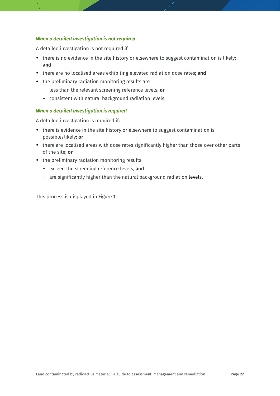#### *When a detailed investigation is not required*

A detailed investigation is not required if:

- there is no evidence in the site history or elsewhere to suggest contamination is likely; **and**
- there are no localised areas exhibiting elevated radiation dose rates; **and**
- the preliminary radiation monitoring results are
	- less than the relevant screening reference levels, **or**
	- consistent with natural background radiation levels.

#### *When a detailed investigation is required*

A detailed investigation is required if:

- there is evidence in the site history or elsewhere to suggest contamination is possible/likely; **or**
- there are localised areas with dose rates significantly higher than those over other parts of the site; **or**
- the preliminary radiation monitoring results
	- exceed the screening reference levels, **and**
	- are significantly higher than the natural background radiation levels.

This process is displayed in Figure 1.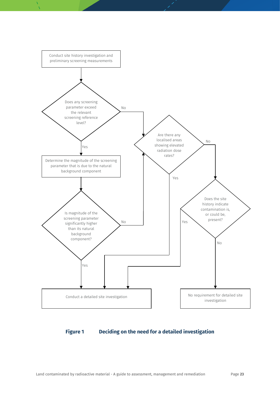

#### <span id="page-22-0"></span>**Figure 1 Deciding on the need for a detailed investigation**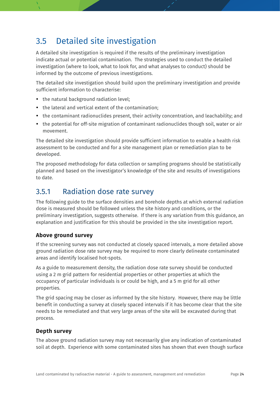## <span id="page-23-0"></span>3.5 Detailed site investigation

A detailed site investigation is required if the results of the preliminary investigation indicate actual or potential contamination. The strategies used to conduct the detailed investigation (where to look, what to look for, and what analyses to conduct) should be informed by the outcome of previous investigations.

The detailed site investigation should build upon the preliminary investigation and provide sufficient information to characterise:

- the natural background radiation level;
- the lateral and vertical extent of the contamination;
- the contaminant radionuclides present, their activity concentration, and leachability; and
- the potential for off-site migration of contaminant radionuclides though soil, water or air movement.

The detailed site investigation should provide sufficient information to enable a health risk assessment to be conducted and for a site management plan or remediation plan to be developed.

The proposed methodology for data collection or sampling programs should be statistically planned and based on the investigator's knowledge of the site and results of investigations to date.

### <span id="page-23-1"></span>3.5.1 Radiation dose rate survey

The following guide to the surface densities and borehole depths at which external radiation dose is measured should be followed unless the site history and conditions, or the preliminary investigation, suggests otherwise. If there is any variation from this guidance, an explanation and justification for this should be provided in the site investigation report.

### **Above ground survey**

If the screening survey was not conducted at closely spaced intervals, a more detailed above ground radiation dose rate survey may be required to more clearly delineate contaminated areas and identify localised hot-spots.

As a guide to measurement density, the radiation dose rate survey should be conducted using a 2 m grid pattern for residential properties or other properties at which the occupancy of particular individuals is or could be high, and a 5 m grid for all other properties.

The grid spacing may be closer as informed by the site history. However, there may be little benefit in conducting a survey at closely spaced intervals if it has become clear that the site needs to be remediated and that very large areas of the site will be excavated during that process.

### **Depth survey**

The above ground radiation survey may not necessarily give any indication of contaminated soil at depth. Experience with some contaminated sites has shown that even though surface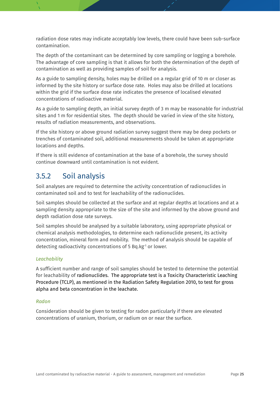radiation dose rates may indicate acceptably low levels, there could have been sub-surface contamination.

The depth of the contaminant can be determined by core sampling or logging a borehole. The advantage of core sampling is that it allows for both the determination of the depth of contamination as well as providing samples of soil for analysis.

As a guide to sampling density, holes may be drilled on a regular grid of 10 m or closer as informed by the site history or surface dose rate. Holes may also be drilled at locations within the grid if the surface dose rate indicates the presence of localised elevated concentrations of radioactive material.

As a guide to sampling depth, an initial survey depth of 3 m may be reasonable for industrial sites and 1 m for residential sites. The depth should be varied in view of the site history, results of radiation measurements, and observations.

If the site history or above ground radiation survey suggest there may be deep pockets or trenches of contaminated soil, additional measurements should be taken at appropriate locations and depths.

If there is still evidence of contamination at the base of a borehole, the survey should continue downward until contamination is not evident.

### <span id="page-24-0"></span>3.5.2 Soil analysis

Soil analyses are required to determine the activity concentration of radionuclides in contaminated soil and to test for leachability of the radionuclides.

Soil samples should be collected at the surface and at regular depths at locations and at a sampling density appropriate to the size of the site and informed by the above ground and depth radiation dose rate surveys.

Soil samples should be analysed by a suitable laboratory, using appropriate physical or chemical analysis methodologies, to determine each radionuclide present, its activity concentration, mineral form and mobility. The method of analysis should be capable of detecting radioactivity concentrations of 5 Bq.kg-1 or lower.

### *Leachability*

A sufficient number and range of soil samples should be tested to determine the potential for leachability of radionuclides. The appropriate test is a Toxicity Characteristic Leaching Procedure (TCLP), as mentioned in the Radiation Safety Regulation 2010, to test for gross alpha and beta concentration in the leachate.

#### *Radon*

Consideration should be given to testing for radon particularly if there are elevated concentrations of uranium, thorium, or radium on or near the surface.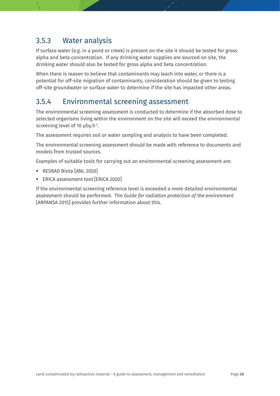### <span id="page-25-0"></span>3.5.3 Water analysis

If surface water (e.g. in a pond or creek) is present on the site it should be tested for gross alpha and beta concentration. If any drinking water supplies are sourced on site, the drinking water should also be tested for gross alpha and beta concentration.

When there is reason to believe that contaminants may leach into water, or there is a potential for off-site migration of contaminants, consideration should be given to testing off-site groundwater or surface water to determine if the site has impacted other areas.

### <span id="page-25-1"></span>3.5.4 Environmental screening assessment

The environmental screening assessment is conducted to determine if the absorbed dose to selected organisms living within the environment on the site will exceed the environmental screening level of 10 µGy.h-1 .

The assessment requires soil or water sampling and analysis to have been completed.

The environmental screening assessment should be made with reference to documents and models from trusted sources.

Examples of suitable tools for carrying out an environmental screening assessment are:

- RESRAD Biota [ANL 2020]
- ERICA assessment tool [ERICA 2020]

If the environmental screening reference level is exceeded a more detailed environmental assessment should be performed. The *Guide for radiation protection of the environment* [ARPANSA 2015] provides further information about this.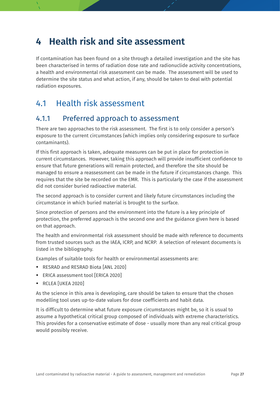## <span id="page-26-0"></span>**4 Health risk and site assessment**

If contamination has been found on a site through a detailed investigation and the site has been characterised in terms of radiation dose rate and radionuclide activity concentrations, a health and environmental risk assessment can be made. The assessment will be used to determine the site status and what action, if any, should be taken to deal with potential radiation exposures.

### <span id="page-26-1"></span>4.1 Health risk assessment

### <span id="page-26-2"></span>4.1.1 Preferred approach to assessment

There are two approaches to the risk assessment. The first is to only consider a person's exposure to the current circumstances (which implies only considering exposure to surface contaminants).

If this first approach is taken, adequate measures can be put in place for protection in current circumstances. However, taking this approach will provide insufficient confidence to ensure that future generations will remain protected, and therefore the site should be managed to ensure a reassessment can be made in the future if circumstances change. This requires that the site be recorded on the EMR. This is particularly the case if the assessment did not consider buried radioactive material.

The second approach is to consider current and likely future circumstances including the circumstance in which buried material is brought to the surface.

Since protection of persons and the environment into the future is a key principle of protection, the preferred approach is the second one and the guidance given here is based on that approach.

The health and environmental risk assessment should be made with reference to documents from trusted sources such as the IAEA, ICRP, and NCRP. A selection of relevant documents is listed in the bibliography.

Examples of suitable tools for health or environmental assessments are:

- RESRAD and RESRAD Biota [ANL 2020]
- ERICA assessment tool [ERICA 2020]
- RCLEA [UKEA 2020]

As the science in this area is developing, care should be taken to ensure that the chosen modelling tool uses up-to-date values for dose coefficients and habit data.

It is difficult to determine what future exposure circumstances might be, so it is usual to assume a hypothetical critical group composed of individuals with extreme characteristics. This provides for a conservative estimate of dose - usually more than any real critical group would possibly receive.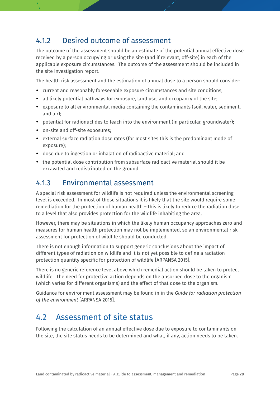### <span id="page-27-0"></span>4.1.2 Desired outcome of assessment

The outcome of the assessment should be an estimate of the potential annual effective dose received by a person occupying or using the site (and if relevant, off-site) in each of the applicable exposure circumstances. The outcome of the assessment should be included in the site investigation report.

The health risk assessment and the estimation of annual dose to a person should consider:

- current and reasonably foreseeable exposure circumstances and site conditions;
- all likely potential pathways for exposure, land use, and occupancy of the site;
- exposure to all environmental media containing the contaminants (soil, water, sediment, and air);
- potential for radionuclides to leach into the environment (in particular, groundwater);
- on-site and off-site exposures;
- external surface radiation dose rates (for most sites this is the predominant mode of exposure);
- dose due to ingestion or inhalation of radioactive material; and
- the potential dose contribution from subsurface radioactive material should it be excavated and redistributed on the ground.

### <span id="page-27-1"></span>4.1.3 Environmental assessment

A special risk assessment for wildlife is not required unless the environmental screening level is exceeded. In most of those situations it is likely that the site would require some remediation for the protection of human health – this is likely to reduce the radiation dose to a level that also provides protection for the wildlife inhabiting the area.

However, there may be situations in which the likely human occupancy approaches zero and measures for human health protection may not be implemented, so an environmental risk assessment for protection of wildlife should be conducted.

There is not enough information to support generic conclusions about the impact of different types of radiation on wildlife and it is not yet possible to define a radiation protection quantity specific for protection of wildlife [ARPANSA 2015].

There is no generic reference level above which remedial action should be taken to protect wildlife. The need for protective action depends on the absorbed dose to the organism (which varies for different organisms) and the effect of that dose to the organism.

Guidance for environment assessment may be found in in the *Guide for radiation protection of the environment* [ARPANSA 2015].

### <span id="page-27-2"></span>4.2 Assessment of site status

Following the calculation of an annual effective dose due to exposure to contaminants on the site, the site status needs to be determined and what, if any, action needs to be taken.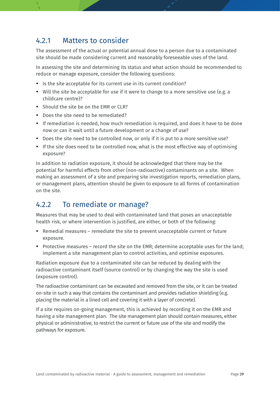### <span id="page-28-0"></span>4.2.1 Matters to consider

The assessment of the actual or potential annual dose to a person due to a contaminated site should be made considering current and reasonably foreseeable uses of the land.

In assessing the site and determining its status and what action should be recommended to reduce or manage exposure, consider the following questions:

- Is the site acceptable for its current use in its current condition?
- Will the site be acceptable for use if it were to change to a more sensitive use (e.g. a childcare centre)?
- Should the site be on the FMR or CLR?
- Does the site need to be remediated?
- If remediation is needed, how much remediation is required, and does it have to be done now or can it wait until a future development or a change of use?
- Does the site need to be controlled now, or only if it is put to a more sensitive use?
- If the site does need to be controlled now, what is the most effective way of optimising exposure?

In addition to radiation exposure, it should be acknowledged that there may be the potential for harmful effects from other (non-radioactive) contaminants on a site. When making an assessment of a site and preparing site investigation reports, remediation plans, or management plans, attention should be given to exposure to all forms of contamination on the site.

### <span id="page-28-1"></span>4.2.2 To remediate or manage?

Measures that may be used to deal with contaminated land that poses an unacceptable health risk, or where intervention is justified, are either, or both of the following:

- Remedial measures remediate the site to prevent unacceptable current or future exposure.
- Protective measures record the site on the EMR; determine acceptable uses for the land; implement a site management plan to control activities, and optimise exposures.

Radiation exposure due to a contaminated site can be reduced by dealing with the radioactive contaminant itself (source control) or by changing the way the site is used (exposure control).

The radioactive contaminant can be excavated and removed from the site, or it can be treated on-site in such a way that contains the contaminant and provides radiation shielding (e.g. placing the material in a lined cell and covering it with a layer of concrete).

If a site requires on-going management, this is achieved by recording it on the EMR and having a site management plan. The site management plan should contain measures, either physical or administrative, to restrict the current or future use of the site and modify the pathways for exposure.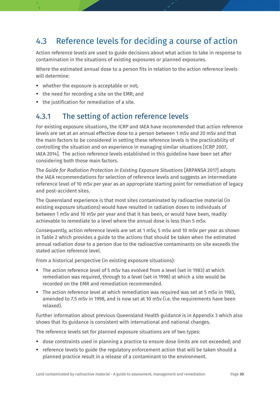### <span id="page-29-0"></span>4.3 Reference levels for deciding a course of action

Action reference levels are used to guide decisions about what action to take in response to contamination in the situations of existing exposures or planned exposures.

Where the estimated annual dose to a person fits in relation to the action reference levels will determine:

- whether the exposure is acceptable or not;
- the need for recording a site on the EMR; and
- the justification for remediation of a site.

### <span id="page-29-1"></span>4.3.1 The setting of action reference levels

For existing exposure situations, the ICRP and IAEA have recommended that action reference levels are set at an annual effective dose to a person between 1 mSv and 20 mSv and that the main factors to be considered in setting these reference levels is the practicability of controlling the situation and on experience in managing similar situations [ICRP 2007, IAEA 2014]. The action reference levels established in this guideline have been set after considering both those main factors.

The *Guide for Radiation Protection in Existing Exposure Situations* [ARPANSA 2017] adopts the IAEA recommendations for selection of reference levels and suggests an intermediate reference level of 10 mSv per year as an appropriate starting point for remediation of legacy and post-accident sites.

The Queensland experience is that most sites contaminated by radioactive material (in existing exposure situations) would have resulted in radiation doses to individuals of between 1 mSv and 10 mSv per year and that it has been, or would have been, readily achievable to remediate to a level where the annual dose is less than 5 mSv.

Consequently, action reference levels are set at 1 mSv, 5 mSv and 10 mSv per year as shown in Table 2 which provides a guide to the actions that should be taken when the estimated annual radiation dose to a person due to the radioactive contaminants on site exceeds the stated action reference level.

From a historical perspective (in existing exposure situations):

- The action reference level of 5 mSv has evolved from a level (set in 1983) at which remediation was required, through to a level (set in 1998) at which a site would be recorded on the EMR and remediation recommended.
- The action reference level at which remediation was required was set at 5 mSv in 1983, amended to 7.5 mSv in 1998, and is now set at 10 mSv (i.e. the requirements have been relaxed).

Further information about previous Queensland Health guidance is in Appendix 3 which also shows that its guidance is consistent with international and national changes.

The reference levels set for planned exposure situations are of two types:

- dose constraints used in planning a practice to ensure dose limits are not exceeded; and
- reference levels to guide the regulatory enforcement action that will be taken should a planned practice result in a release of a contaminant to the environment.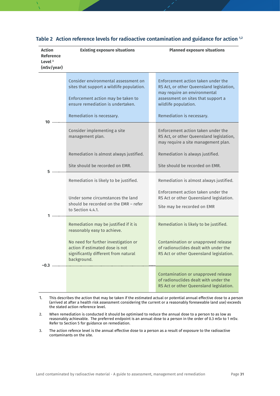| <b>Action</b><br><b>Reference</b><br>Level $3$<br>(mSv/year) | <b>Existing exposure situations</b>                                                                                                                                                                    | <b>Planned exposure situations</b>                                                                                                                                                                        |
|--------------------------------------------------------------|--------------------------------------------------------------------------------------------------------------------------------------------------------------------------------------------------------|-----------------------------------------------------------------------------------------------------------------------------------------------------------------------------------------------------------|
| 10                                                           | Consider environmental assessment on<br>sites that support a wildlife population.<br>Enforcement action may be taken to<br>ensure remediation is undertaken.<br>Remediation is necessary.              | Enforcement action taken under the<br>RS Act, or other Queensland legislation,<br>may require an environmental<br>assessment on sites that support a<br>wildlife population.<br>Remediation is necessary. |
|                                                              | Consider implementing a site<br>management plan.                                                                                                                                                       | Enforcement action taken under the<br>RS Act, or other Queensland legislation,<br>may require a site management plan.                                                                                     |
| 5                                                            | Remediation is almost always justified.<br>Site should be recorded on EMR.                                                                                                                             | Remediation is always justified.<br>Site should be recorded on EMR.                                                                                                                                       |
|                                                              | Remediation is likely to be justified.<br>Under some circumstances the land<br>should be recorded on the EMR - refer<br>to Section 4.4.1.                                                              | Remediation is almost always justified.<br>Enforcement action taken under the<br>RS Act or other Queensland legislation.<br>Site may be recorded on EMR                                                   |
|                                                              | Remediation may be justified if it is<br>reasonably easy to achieve.<br>No need for further investigation or<br>action if estimated dose is not<br>significantly different from natural<br>background. | Remediation is likely to be justified.<br>Contamination or unapproved release<br>of radionuclides dealt with under the<br>RS Act or other Queensland legislation.                                         |
| $-0.3 -$                                                     |                                                                                                                                                                                                        | Contamination or unapproved release<br>of radionuclides dealt with under the<br>RS Act or other Queensland legislation.                                                                                   |

#### <span id="page-30-0"></span>**Table 2 Action reference levels for radioactive contamination and guidance for action 1,2**

- 1. This describes the action that may be taken if the estimated actual or potential annual effective dose to a person (arrived at after a health risk assessment considering the current or a reasonably foreseeable land use) exceeds the stated action reference level.
- 2. When remediation is conducted it should be optimised to reduce the annual dose to a person to as low as reasonably achievable. The preferred endpoint is an annual dose to a person in the order of 0.3 mSv to 1 mSv. Refer to Section 5 for guidance on remediation.
- 3. The action refence level is the annual effective dose to a person as a result of exposure to the radioactive contaminants on the site.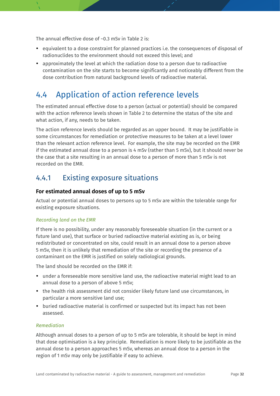The annual effective dose of ~0.3 mSv in Table 2 is:

- equivalent to a dose constraint for planned practices i.e. the consequences of disposal of radionuclides to the environment should not exceed this level; and
- approximately the level at which the radiation dose to a person due to radioactive contamination on the site starts to become significantly and noticeably different from the dose contribution from natural background levels of radioactive material.

### <span id="page-31-0"></span>4.4 Application of action reference levels

The estimated annual effective dose to a person (actual or potential) should be compared with the action reference levels shown in Table 2 to determine the status of the site and what action, if any, needs to be taken.

The action reference levels should be regarded as an upper bound. It may be justifiable in some circumstances for remediation or protective measures to be taken at a level lower than the relevant action reference level. For example, the site may be recorded on the EMR if the estimated annual dose to a person is 4 mSv (rather than 5 mSv), but it should never be the case that a site resulting in an annual dose to a person of more than 5 mSv is not recorded on the EMR.

### <span id="page-31-1"></span>4.4.1 Existing exposure situations

### **For estimated annual doses of up to 5 mSv**

Actual or potential annual doses to persons up to 5 mSv are within the tolerable range for existing exposure situations.

#### *Recording land on the EMR*

If there is no possibility, under any reasonably foreseeable situation (in the current or a future land use), that surface or buried radioactive material existing as is, or being redistributed or concentrated on site, could result in an annual dose to a person above 5 mSv, then it is unlikely that remediation of the site or recording the presence of a contaminant on the EMR is justified on solely radiological grounds.

The land should be recorded on the EMR if:

- under a foreseeable more sensitive land use, the radioactive material might lead to an annual dose to a person of above 5 mSv;
- the health risk assessment did not consider likely future land use circumstances, in particular a more sensitive land use;
- buried radioactive material is confirmed or suspected but its impact has not been assessed.

#### *Remediation*

Although annual doses to a person of up to 5 mSv are tolerable, it should be kept in mind that dose optimisation is a key principle. Remediation is more likely to be justifiable as the annual dose to a person approaches 5 mSv, whereas an annual dose to a person in the region of 1 mSv may only be justifiable if easy to achieve.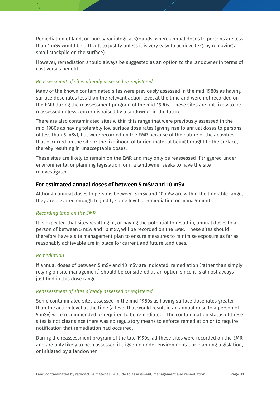Remediation of land, on purely radiological grounds, where annual doses to persons are less than 1 mSv would be difficult to justify unless it is very easy to achieve (e.g. by removing a small stockpile on the surface).

However, remediation should always be suggested as an option to the landowner in terms of cost versus benefit.

#### *Reassessment of sites already assessed or registered*

Many of the known contaminated sites were previously assessed in the mid-1980s as having surface dose rates less than the relevant action level at the time and were not recorded on the EMR during the reassessment program of the mid-1990s. These sites are not likely to be reassessed unless concern is raised by a landowner in the future.

There are also contaminated sites within this range that were previously assessed in the mid-1980s as having tolerably low surface dose rates (giving rise to annual doses to persons of less than 5 mSv), but were recorded on the EMR because of the nature of the activities that occurred on the site or the likelihood of buried material being brought to the surface, thereby resulting in unacceptable doses.

These sites are likely to remain on the EMR and may only be reassessed if triggered under environmental or planning legislation, or if a landowner seeks to have the site reinvestigated.

### **For estimated annual doses of between 5 mSv and 10 mSv**

Although annual doses to persons between 5 mSv and 10 mSv are within the tolerable range, they are elevated enough to justify some level of remediation or management.

#### *Recording land on the EMR*

It is expected that sites resulting in, or having the potential to result in, annual doses to a person of between 5 mSv and 10 mSv, will be recorded on the EMR. These sites should therefore have a site management plan to ensure measures to minimise exposure as far as reasonably achievable are in place for current and future land uses.

#### *Remediation*

If annual doses of between 5 mSv and 10 mSv are indicated, remediation (rather than simply relying on site management) should be considered as an option since it is almost always justified in this dose range.

#### *Reassessment of sites already assessed or registered*

Some contaminated sites assessed in the mid-1980s as having surface dose rates greater than the action level at the time (a level that would result in an annual dose to a person of 5 mSv) were recommended or required to be remediated. The contamination status of these sites is not clear since there was no regulatory means to enforce remediation or to require notification that remediation had occurred.

During the reassessment program of the late 1990s, all these sites were recorded on the EMR and are only likely to be reassessed if triggered under environmental or planning legislation, or initiated by a landowner.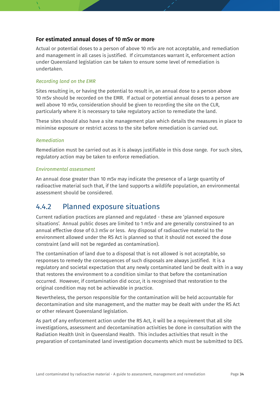#### **For estimated annual doses of 10 mSv or more**

Actual or potential doses to a person of above 10 mSv are not acceptable, and remediation and management in all cases is justified. If circumstances warrant it, enforcement action under Queensland legislation can be taken to ensure some level of remediation is undertaken.

#### *Recording land on the EMR*

Sites resulting in, or having the potential to result in, an annual dose to a person above 10 mSv should be recorded on the EMR. If actual or potential annual doses to a person are well above 10 mSv, consideration should be given to recording the site on the CLR, particularly where it is necessary to take regulatory action to remediate the land.

These sites should also have a site management plan which details the measures in place to minimise exposure or restrict access to the site before remediation is carried out.

#### *Remediation*

Remediation must be carried out as it is always justifiable in this dose range. For such sites, regulatory action may be taken to enforce remediation.

#### *Environmental assessment*

An annual dose greater than 10 mSv may indicate the presence of a large quantity of radioactive material such that, if the land supports a wildlife population, an environmental assessment should be considered.

### <span id="page-33-0"></span>4.4.2 Planned exposure situations

Current radiation practices are planned and regulated - these are 'planned exposure situations'. Annual public doses are limited to 1 mSv and are generally constrained to an annual effective dose of 0.3 mSv or less. Any disposal of radioactive material to the environment allowed under the RS Act is planned so that it should not exceed the dose constraint (and will not be regarded as contamination).

The contamination of land due to a disposal that is not allowed is not acceptable, so responses to remedy the consequences of such disposals are always justified. It is a regulatory and societal expectation that any newly contaminated land be dealt with in a way that restores the environment to a condition similar to that before the contamination occurred. However, if contamination did occur, it is recognised that restoration to the original condition may not be achievable in practice.

Nevertheless, the person responsible for the contamination will be held accountable for decontamination and site management, and the matter may be dealt with under the RS Act or other relevant Queensland legislation.

As part of any enforcement action under the RS Act, it will be a requirement that all site investigations, assessment and decontamination activities be done in consultation with the Radiation Health Unit in Queensland Health. This includes activities that result in the preparation of contaminated land investigation documents which must be submitted to DES.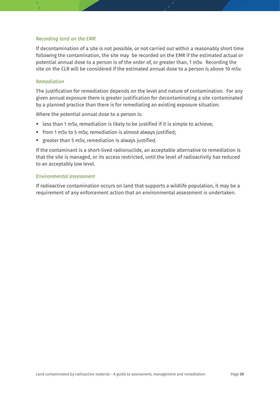#### *Recording land on the EMR*

If decontamination of a site is not possible, or not carried out within a reasonably short time following the contamination, the site may be recorded on the EMR if the estimated actual or potential annual dose to a person is of the order of, or greater than, 1 mSv. Recording the site on the CLR will be considered if the estimated annual dose to a person is above 10 mSv.

#### *Remediation*

The justification for remediation depends on the level and nature of contamination. For any given annual exposure there is greater justification for decontaminating a site contaminated by a planned practice than there is for remediating an existing exposure situation.

Where the potential annual dose to a person is:

- less than 1 mSv, remediation is likely to be justified if it is simple to achieve;
- from 1 mSv to 5 mSv, remediation is almost always justified;
- greater than 5 mSv, remediation is always justified.

If the contaminant is a short-lived radionuclide, an acceptable alternative to remediation is that the site is managed, or its access restricted, until the level of radioactivity has reduced to an acceptably low level.

#### *Environmental assessment*

If radioactive contamination occurs on land that supports a wildlife population, it may be a requirement of any enforcement action that an environmental assessment is undertaken.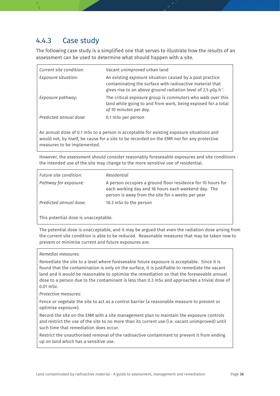### <span id="page-35-0"></span>4.4.3 Case study

The following case study is a simplified one that serves to illustrate how the results of an assessment can be used to determine what should happen with a site.

| Current site condition:                                                                  | Vacant unimproved urban land                                                                                                                                                                            |  |
|------------------------------------------------------------------------------------------|---------------------------------------------------------------------------------------------------------------------------------------------------------------------------------------------------------|--|
| <b>Exposure situation:</b>                                                               | An existing exposure situation caused by a past practice<br>contaminating the surface with radioactive material that<br>gives rise to an above ground radiation level of 2.5 $\mu$ Gy.h <sup>-1</sup> . |  |
| Exposure pathway:                                                                        | The critical exposure group is commuters who walk over this<br>land while going to and from work, being exposed for a total<br>of 10 minutes per day.                                                   |  |
| Predicted annual dose:                                                                   | 0.1 mSv per person                                                                                                                                                                                      |  |
| An annual dose of 0.1 mSv to a person is acceptable for existing exposure situations and |                                                                                                                                                                                                         |  |

An annual dose of 0.1 mSv to a person is acceptable for existing exposure situations and would not, by itself, be cause for a site to be recorded on the EMR nor for any protective measures to be implemented.

However, the assessment should consider reasonably foreseeable exposures and site conditions the intended use of the site may change to the more sensitive use of residential.

| Future site condition: | Residential                                                                                                                                                             |
|------------------------|-------------------------------------------------------------------------------------------------------------------------------------------------------------------------|
| Pathway for exposure:  | A person occupies a ground floor residence for 10 hours for<br>each working day and 18 hours each weekend day. The<br>person is away from the site for 4 weeks per year |
| Predicted annual dose: | 10.3 mSv to the person                                                                                                                                                  |
|                        |                                                                                                                                                                         |

This potential dose is unacceptable.

The potential dose is unacceptable, and it may be argued that even the radiation dose arising from the current site condition is able to be reduced. Reasonable measures that may be taken now to prevent or minimise current and future exposures are:

#### *Remedial measures:*

Remediate the site to a level where foreseeable future exposure is acceptable. Since it is found that the contamination is only on the surface, it is justifiable to remediate the vacant land and it would be reasonable to optimise the remediation so that the foreseeable annual dose to a person due to the contaminant is less than 0.3 mSv and approaches a trivial dose of 0.01 mSv.

#### *Protective measures:*

Fence or vegetate the site to act as a control barrier (a reasonable measure to prevent or optimise exposure).

Record the site on the EMR with a site management plan to maintain the exposure controls and restrict the use of the site to no more than its current use (i.e. vacant unimproved) until such time that remediation does occur.

Restrict the unauthorised removal of the radioactive contaminant to prevent it from ending up on land which has a sensitive use.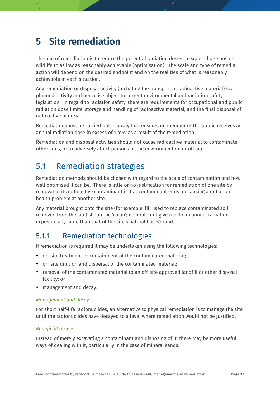## <span id="page-36-0"></span>**5 Site remediation**

The aim of remediation is to reduce the potential radiation doses to exposed persons or wildlife to as low as reasonably achievable (optimisation). The scale and type of remedial action will depend on the desired endpoint and on the realities of what is reasonably achievable in each situation.

Any remediation or disposal activity (including the transport of radioactive material) is a planned activity and hence is subject to current environmental and radiation safety legislation. In regard to radiation safety, there are requirements for occupational and public radiation dose limits, storage and handling of radioactive material, and the final disposal of radioactive material.

Remediation must be carried out in a way that ensures no member of the public receives an annual radiation dose in excess of 1 mSv as a result of the remediation.

Remediation and disposal activities should not cause radioactive material to contaminate other sites, or to adversely affect persons or the environment on or off site.

### <span id="page-36-1"></span>5.1 Remediation strategies

Remediation methods should be chosen with regard to the scale of contamination and how well optimised it can be. There is little or no justification for remediation of one site by removal of its radioactive contaminant if that contaminant ends up causing a radiation health problem at another site.

Any material brought onto the site (for example, fill used to replace contaminated soil removed from the site) should be 'clean'; it should not give rise to an annual radiation exposure any more than that of the site's natural background.

### <span id="page-36-2"></span>5.1.1 Remediation technologies

If remediation is required it may be undertaken using the following technologies:

- on-site treatment or containment of the contaminated material;
- on-site dilution and dispersal of the contaminated material;
- removal of the contaminated material to an off-site approved landfill or other disposal facility; or
- management and decay.

### *Management and decay*

For short half-life radionuclides, an alternative to physical remediation is to manage the site until the radionuclides have decayed to a level where remediation would not be justified.

#### *Beneficial re-use*

Instead of merely excavating a contaminant and disposing of it, there may be more useful ways of dealing with it, particularly in the case of mineral sands.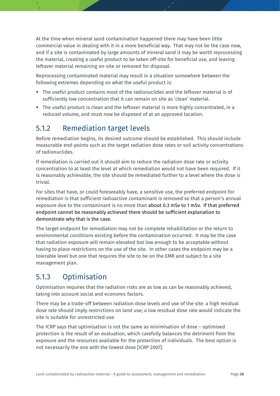At the time when mineral sand contamination happened there may have been little commercial value in dealing with it in a more beneficial way. That may not be the case now, and if a site is contaminated by large amounts of mineral sand it may be worth reprocessing the material, creating a useful product to be taken off-site for beneficial use, and leaving leftover material remaining on-site or removed for disposal.

Reprocessing contaminated material may result in a situation somewhere between the following extremes depending on what the useful product is:

- The useful product contains most of the radionuclides and the leftover material is of sufficiently low concentration that it can remain on site as 'clean' material.
- The useful product is clean and the leftover material is more highly concentrated, in a reduced volume, and must now be disposed of at an approved location.

### <span id="page-37-0"></span>5.1.2 Remediation target levels

Before remediation begins, its desired outcome should be established. This should include measurable end-points such as the target radiation dose rates or soil activity concentrations of radionuclides.

If remediation is carried out it should aim to reduce the radiation dose rate or activity concentration to at least the level at which remediation would not have been required. If it is reasonably achievable, the site should be remediated further to a level where the dose is trivial.

For sites that have, or could foreseeably have, a sensitive use, the preferred endpoint for remediation is that sufficient radioactive contaminant is removed so that a person's annual exposure due to the contaminant is no more than about 0.3 mSv to 1 mSv. If that preferred endpoint cannot be reasonably achieved there should be sufficient explanation to demonstrate why that is the case.

The target endpoint for remediation may not be complete rehabilitation or the return to environmental conditions existing before the contamination occurred. It may be the case that radiation exposure will remain elevated but low enough to be acceptable without having to place restrictions on the use of the site. In other cases the endpoint may be a tolerable level but one that requires the site to be on the EMR and subject to a site management plan.

### <span id="page-37-1"></span>5.1.3 Optimisation

Optimisation requires that the radiation risks are as low as can be reasonably achieved, taking into account social and economic factors.

There may be a trade-off between radiation dose levels and use of the site: a high residual dose rate should imply restrictions on land use; a low residual dose rate would indicate the site is suitable for unrestricted use.

The ICRP says that optimisation is not the same as minimisation of dose – optimised protection is the result of an evaluation, which carefully balances the detriment from the exposure and the resources available for the protection of individuals. The best option is not necessarily the one with the lowest dose [ICRP 2007].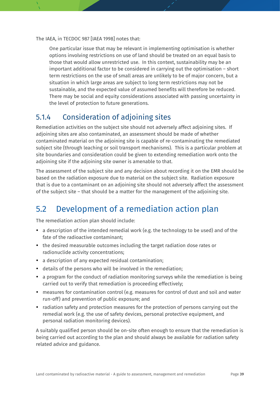The IAEA, in TECDOC 987 [IAEA 1998] notes that:

One particular issue that may be relevant in implementing optimisation is whether options involving restrictions on use of land should be treated on an equal basis to those that would allow unrestricted use. In this context, sustainability may be an important additional factor to be considered in carrying out the optimisation – short term restrictions on the use of small areas are unlikely to be of major concern, but a situation in which large areas are subject to long term restrictions may not be sustainable, and the expected value of assumed benefits will therefore be reduced. There may be social and equity considerations associated with passing uncertainty in the level of protection to future generations.

### <span id="page-38-0"></span>5.1.4 Consideration of adjoining sites

Remediation activities on the subject site should not adversely affect adjoining sites. If adjoining sites are also contaminated, an assessment should be made of whether contaminated material on the adjoining site is capable of re-contaminating the remediated subject site (through leaching or soil transport mechanisms). This is a particular problem at site boundaries and consideration could be given to extending remediation work onto the adjoining site if the adjoining site owner is amenable to that.

The assessment of the subject site and any decision about recording it on the EMR should be based on the radiation exposure due to material on the subject site. Radiation exposure that is due to a contaminant on an adjoining site should not adversely affect the assessment of the subject site – that should be a matter for the management of the adjoining site.

### <span id="page-38-1"></span>5.2 Development of a remediation action plan

The remediation action plan should include:

- a description of the intended remedial work (e.g. the technology to be used) and of the fate of the radioactive contaminant;
- the desired measurable outcomes including the target radiation dose rates or radionuclide activity concentrations;
- a description of any expected residual contamination;
- details of the persons who will be involved in the remediation;
- a program for the conduct of radiation monitoring surveys while the remediation is being carried out to verify that remediation is proceeding effectively;
- measures for contamination control (e.g. measures for control of dust and soil and water run-off) and prevention of public exposure; and
- radiation safety and protection measures for the protection of persons carrying out the remedial work (e.g. the use of safety devices, personal protective equipment, and personal radiation monitoring devices).

A suitably qualified person should be on-site often enough to ensure that the remediation is being carried out according to the plan and should always be available for radiation safety related advice and guidance.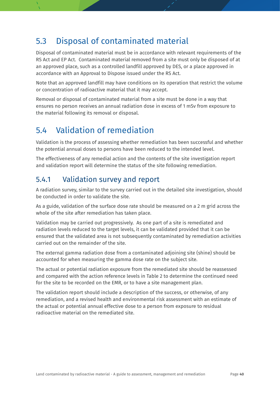## <span id="page-39-0"></span>5.3 Disposal of contaminated material

Disposal of contaminated material must be in accordance with relevant requirements of the RS Act and EP Act. Contaminated material removed from a site must only be disposed of at an approved place, such as a controlled landfill approved by DES, or a place approved in accordance with an Approval to Dispose issued under the RS Act.

Note that an approved landfill may have conditions on its operation that restrict the volume or concentration of radioactive material that it may accept.

Removal or disposal of contaminated material from a site must be done in a way that ensures no person receives an annual radiation dose in excess of 1 mSv from exposure to the material following its removal or disposal.

## <span id="page-39-1"></span>5.4 Validation of remediation

Validation is the process of assessing whether remediation has been successful and whether the potential annual doses to persons have been reduced to the intended level.

The effectiveness of any remedial action and the contents of the site investigation report and validation report will determine the status of the site following remediation.

### <span id="page-39-2"></span>5.4.1 Validation survey and report

A radiation survey, similar to the survey carried out in the detailed site investigation, should be conducted in order to validate the site.

As a guide, validation of the surface dose rate should be measured on a 2 m grid across the whole of the site after remediation has taken place.

Validation may be carried out progressively. As one part of a site is remediated and radiation levels reduced to the target levels, it can be validated provided that it can be ensured that the validated area is not subsequently contaminated by remediation activities carried out on the remainder of the site.

The external gamma radiation dose from a contaminated adjoining site (shine) should be accounted for when measuring the gamma dose rate on the subject site.

The actual or potential radiation exposure from the remediated site should be reassessed and compared with the action reference levels in Table 2 to determine the continued need for the site to be recorded on the EMR, or to have a site management plan.

The validation report should include a description of the success, or otherwise, of any remediation, and a revised health and environmental risk assessment with an estimate of the actual or potential annual effective dose to a person from exposure to residual radioactive material on the remediated site.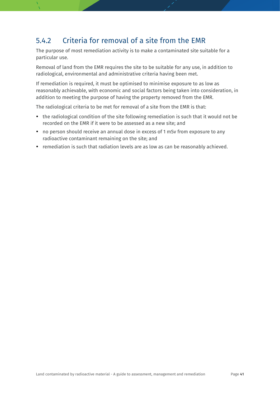### <span id="page-40-0"></span>5.4.2 Criteria for removal of a site from the EMR

The purpose of most remediation activity is to make a contaminated site suitable for a particular use.

Removal of land from the EMR requires the site to be suitable for any use, in addition to radiological, environmental and administrative criteria having been met.

If remediation is required, it must be optimised to minimise exposure to as low as reasonably achievable, with economic and social factors being taken into consideration, in addition to meeting the purpose of having the property removed from the EMR.

The radiological criteria to be met for removal of a site from the EMR is that:

- the radiological condition of the site following remediation is such that it would not be recorded on the EMR if it were to be assessed as a new site; and
- no person should receive an annual dose in excess of 1 mSv from exposure to any radioactive contaminant remaining on the site; and
- remediation is such that radiation levels are as low as can be reasonably achieved.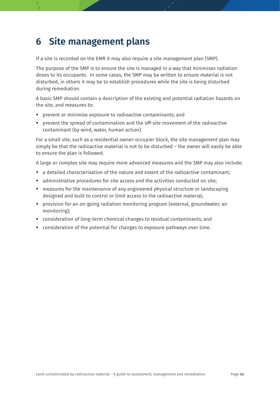## <span id="page-41-0"></span>**6 Site management plans**

If a site is recorded on the EMR it may also require a site management plan (SMP).

The purpose of the SMP is to ensure the site is managed in a way that minimises radiation doses to its occupants. In some cases, the SMP may be written to ensure material is not disturbed, in others it may be to establish procedures while the site is being disturbed during remediation.

A basic SMP should contain a description of the existing and potential radiation hazards on the site, and measures to:

- prevent or minimise exposure to radioactive contaminants; and
- prevent the spread of contamination and the off-site movement of the radioactive contaminant (by wind, water, human action).

For a small site, such as a residential owner-occupier block, the site management plan may simply be that the radioactive material is not to be disturbed – the owner will easily be able to ensure the plan is followed.

A large or complex site may require more advanced measures and the SMP may also include:

- a detailed characterisation of the nature and extent of the radioactive contaminant;
- administrative procedures for site access and the activities conducted on site;
- measures for the maintenance of any engineered physical structure or landscaping designed and built to control or limit access to the radioactive material;
- provision for an on-going radiation monitoring program (external, groundwater, air monitoring);
- consideration of long-term chemical changes to residual contaminants; and
- consideration of the potential for changes to exposure pathways over time.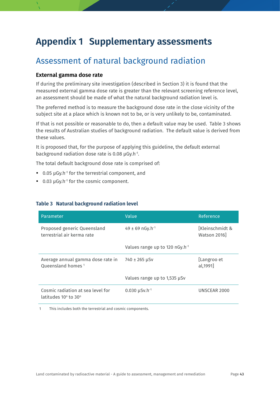## <span id="page-42-0"></span>**Appendix 1 Supplementary assessments**

### Assessment of natural background radiation

### **External gamma dose rate**

If during the preliminary site investigation (described in Section 3) it is found that the measured external gamma dose rate is greater than the relevant screening reference level, an assessment should be made of what the natural background radiation level is.

The preferred method is to measure the background dose rate in the close vicinity of the subject site at a place which is known not to be, or is very unlikely to be, contaminated.

If that is not possible or reasonable to do, then a default value may be used. Table 3 shows the results of Australian studies of background radiation. The default value is derived from these values.

It is proposed that, for the purpose of applying this guideline, the default external background radiation dose rate is 0.08  $\mu$ Gy.h<sup>-1</sup>.

The total default background dose rate is comprised of:

- 0.05 µGy.h<sup>-1</sup> for the terrestrial component, and
- 0.03 µGy.h<sup>-1</sup> for the cosmic component.

#### <span id="page-42-1"></span>**Table 3 Natural background radiation level**

| Parameter                                                                   | Value                                      | Reference                      |
|-----------------------------------------------------------------------------|--------------------------------------------|--------------------------------|
| Proposed generic Queensland<br>terrestrial air kerma rate                   | 49 ± 69 nGy.h <sup>-1</sup>                | [Kleinschmidt &<br>Watson 2016 |
|                                                                             | Values range up to 120 nGy.h <sup>-1</sup> |                                |
| Average annual gamma dose rate in<br>Oueensland homes <sup>1</sup>          | 740 ± 265 µSv                              | [Langroo et<br>al, 1991]       |
|                                                                             | Values range up to 1,535 µSv               |                                |
| Cosmic radiation at sea level for<br>latitudes $10^{\circ}$ to $30^{\circ}$ | $0.030 \mu Sv.h^{-1}$                      | UNSCEAR 2000                   |

1 This includes both the terrestrial and cosmic components.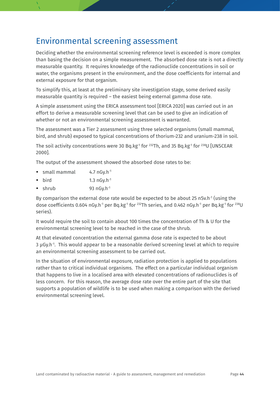### Environmental screening assessment

Deciding whether the environmental screening reference level is exceeded is more complex than basing the decision on a simple measurement. The absorbed dose rate is not a directly measurable quantity. It requires knowledge of the radionuclide concentrations in soil or water, the organisms present in the environment, and the dose coefficients for internal and external exposure for that organism.

To simplify this, at least at the preliminary site investigation stage, some derived easily measurable quantity is required – the easiest being external gamma dose rate.

A simple assessment using the ERICA assessment tool [ERICA 2020] was carried out in an effort to derive a measurable screening level that can be used to give an indication of whether or not an environmental screening assessment is warranted.

The assessment was a Tier 2 assessment using three selected organisms (small mammal, bird, and shrub) exposed to typical concentrations of thorium-232 and uranium-238 in soil.

The soil activity concentrations were 30 Bq.kg<sup>-1</sup> for <sup>232</sup>Th, and 35 Bq.kg<sup>-1</sup> for <sup>238</sup>U [UNSCEAR 2000].

The output of the assessment showed the absorbed dose rates to be:

- small mammal 4.7 nGy.h<sup>-1</sup>
- $\bullet$  bird 1.3 nGy.h<sup>-1</sup>
- $\bullet$  shrub 93 nGv.h<sup>-1</sup>

By comparison the external dose rate would be expected to be about 25 nSv.h<sup>-1</sup> (using the dose coefficients 0.604 nGy.h<sup>-1</sup> per Bq.kg<sup>-1</sup> for <sup>232</sup>Th series, and 0.462 nGy.h<sup>-1</sup> per Bq.kg<sup>-1</sup> for <sup>238</sup>U series).

It would require the soil to contain about 100 times the concentration of Th & U for the environmental screening level to be reached in the case of the shrub.

At that elevated concentration the external gamma dose rate is expected to be about 3 µGy.h<sup>-1</sup>. This would appear to be a reasonable derived screening level at which to require an environmental screening assessment to be carried out.

In the situation of environmental exposure, radiation protection is applied to populations rather than to critical individual organisms. The effect on a particular individual organism that happens to live in a localised area with elevated concentrations of radionuclides is of less concern. For this reason, the average dose rate over the entire part of the site that supports a population of wildlife is to be used when making a comparison with the derived environmental screening level.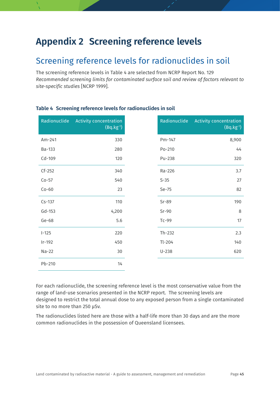## <span id="page-44-0"></span>**Appendix 2 Screening reference levels**

### Screening reference levels for radionuclides in soil

The screening reference levels in Table 4 are selected from NCRP Report No. 129 *Recommended screening limits for contaminated surface soil and review of factors relevant to site-specific studies* [NCRP 1999].

| Radionuclide | <b>Activity concentration</b><br>$(Bq.kg^{-1})$ | Radionuclide | <b>Activity concentration</b><br>$(Bq.kg^{-1})$ |
|--------------|-------------------------------------------------|--------------|-------------------------------------------------|
| Am-241       | 330                                             | Pm-147       | 8,900                                           |
| Ba-133       | 280                                             | Po-210       | 44                                              |
| Cd-109       | 120                                             | Pu-238       | 320                                             |
| $Cf-252$     | 340                                             | Ra-226       | 3.7                                             |
| $Co-57$      | 540                                             | $S-35$       | 27                                              |
| $Co-60$      | 23                                              | Se-75        | 82                                              |
| $Cs-137$     | 110                                             | $Sr-89$      | 190                                             |
| Gd-153       | 4,200                                           | $Sr-90$      | 8                                               |
| Ge-68        | 5.6                                             | Tc-99        | 17                                              |
| $I-125$      | 220                                             | $Th-232$     | 2.3                                             |
| $Ir-192$     | 450                                             | $Tl-204$     | 140                                             |
| $Na-22$      | 30                                              | $U-238$      | 620                                             |
| Pb-210       | 14                                              |              |                                                 |

### <span id="page-44-1"></span>**Table 4 Screening reference levels for radionuclides in soil**

For each radionuclide, the screening reference level is the most conservative value from the range of land-use scenarios presented in the NCRP report. The screening levels are designed to restrict the total annual dose to any exposed person from a single contaminated site to no more than 250 µSv.

The radionuclides listed here are those with a half-life more than 30 days and are the more common radionuclides in the possession of Queensland licensees.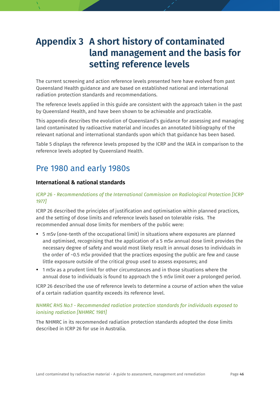## <span id="page-45-0"></span>**Appendix 3 A short history of contaminated land management and the basis for setting reference levels**

The current screening and action reference levels presented here have evolved from past Queensland Health guidance and are based on established national and international radiation protection standards and recommendations.

The reference levels applied in this guide are consistent with the approach taken in the past by Queensland Health, and have been shown to be achievable and practicable.

This appendix describes the evolution of Queensland's guidance for assessing and managing land contaminated by radioactive material and incudes an annotated bibliography of the relevant national and international standards upon which that guidance has been based.

Table 5 displays the reference levels proposed by the ICRP and the IAEA in comparison to the reference levels adopted by Queensland Health.

### Pre 1980 and early 1980s

### **International & national standards**

#### *ICRP 26 - Recommendations of the International Commission on Radiological Protection [ICRP 1977]*

ICRP 26 described the principles of justification and optimisation within planned practices, and the setting of dose limits and reference levels based on tolerable risks. The recommended annual dose limits for members of the public were:

- 5 mSv (one-tenth of the occupational limit) in situations where exposures are planned and optimised, recognising that the application of a 5 mSv annual dose limit provides the necessary degree of safety and would most likely result in annual doses to individuals in the order of ~0.5 mSv provided that the practices exposing the public are few and cause little exposure outside of the critical group used to assess exposures; and
- 1 mSv as a prudent limit for other circumstances and in those situations where the annual dose to individuals is found to approach the 5 mSv limit over a prolonged period.

ICRP 26 described the use of reference levels to determine a course of action when the value of a certain radiation quantity exceeds its reference level.

#### *NHMRC RHS No.1 - Recommended radiation protection standards for individuals exposed to ionising radiation [NHMRC 1981]*

The NHMRC in its recommended radiation protection standards adopted the dose limits described in ICRP 26 for use in Australia.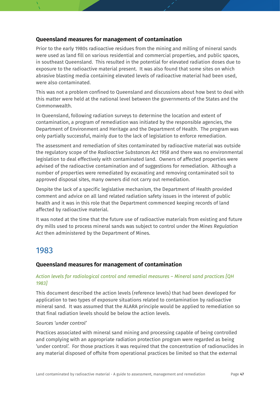### **Queensland measures for management of contamination**

Prior to the early 1980s radioactive residues from the mining and milling of mineral sands were used as land fill on various residential and commercial properties, and public spaces, in southeast Queensland. This resulted in the potential for elevated radiation doses due to exposure to the radioactive material present. It was also found that some sites on which abrasive blasting media containing elevated levels of radioactive material had been used, were also contaminated.

This was not a problem confined to Queensland and discussions about how best to deal with this matter were held at the national level between the governments of the States and the Commonwealth.

In Queensland, following radiation surveys to determine the location and extent of contamination, a program of remediation was initiated by the responsible agencies, the Department of Environment and Heritage and the Department of Health. The program was only partially successful, mainly due to the lack of legislation to enforce remediation.

The assessment and remediation of sites contaminated by radioactive material was outside the regulatory scope of the *Radioactive Substances Act 1958* and there was no environmental legislation to deal effectively with contaminated land. Owners of affected properties were advised of the radioactive contamination and of suggestions for remediation. Although a number of properties were remediated by excavating and removing contaminated soil to approved disposal sites, many owners did not carry out remediation.

Despite the lack of a specific legislative mechanism, the Department of Health provided comment and advice on all land related radiation safety issues in the interest of public health and it was in this role that the Department commenced keeping records of land affected by radioactive material.

It was noted at the time that the future use of radioactive materials from existing and future dry mills used to process mineral sands was subject to control under the *Mines Regulation Act* then administered by the Department of Mines.

### 1983

### **Queensland measures for management of contamination**

#### *Action levels for radiological control and remedial measures – Mineral sand practices [QH 1983]*

This document described the action levels (reference levels) that had been developed for application to two types of exposure situations related to contamination by radioactive mineral sand. It was assumed that the ALARA principle would be applied to remediation so that final radiation levels should be below the action levels.

#### *Sources 'under control'*

Practices associated with mineral sand mining and processing capable of being controlled and complying with an appropriate radiation protection program were regarded as being 'under control'. For those practices it was required that the concentration of radionuclides in any material disposed of offsite from operational practices be limited so that the external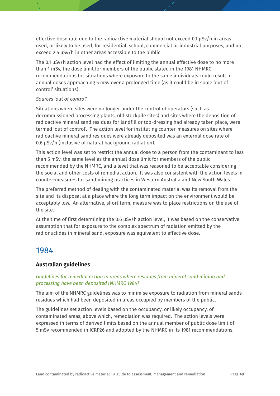effective dose rate due to the radioactive material should not exceed 0.1 µSv/h in areas used, or likely to be used, for residential, school, commercial or industrial purposes, and not exceed 2.5 µSv/h in other areas accessible to the public.

The 0.1 µSv/h action level had the effect of limiting the annual effective dose to no more than 1 mSv, the dose limit for members of the public stated in the 1981 NHMRC recommendations for situations where exposure to the same individuals could result in annual doses approaching 5 mSv over a prolonged time (as it could be in some 'out of control' situations).

#### *Sources 'out of control'*

Situations where sites were no longer under the control of operators (such as decommissioned processing plants, old stockpile sites) and sites where the deposition of radioactive mineral sand residues for landfill or top-dressing had already taken place, were termed 'out of control'. The action level for instituting counter-measures on sites where radioactive mineral sand residues were already deposited was an external dose rate of 0.6 µSv/h (inclusive of natural background radiation).

This action level was set to restrict the annual dose to a person from the contaminant to less than 5 mSv, the same level as the annual dose limit for members of the public recommended by the NHMRC, and a level that was reasoned to be acceptable considering the social and other costs of remedial action. It was also consistent with the action levels in counter-measures for sand mining practices in Western Australia and New South Wales.

The preferred method of dealing with the contaminated material was its removal from the site and its disposal at a place where the long term impact on the environment would be acceptably low. An alternative, short term, measure was to place restrictions on the use of the site.

At the time of first determining the 0.6 µSv/h action level, it was based on the conservative assumption that for exposure to the complex spectrum of radiation emitted by the radionuclides in mineral sand, exposure was equivalent to effective dose.

### 1984

### **Australian guidelines**

### *Guidelines for remedial action in areas where residues from mineral sand mining and processing have been deposited [NHMRC 1984]*

The aim of the NHMRC guidelines was to minimise exposure to radiation from mineral sands residues which had been deposited in areas occupied by members of the public.

The guidelines set action levels based on the occupancy, or likely occupancy, of contaminated areas, above which, remediation was required. The action levels were expressed in terms of derived limits based on the annual member of public dose limit of 5 mSv recommended in ICRP26 and adopted by the NHMRC in its 1981 recommendations.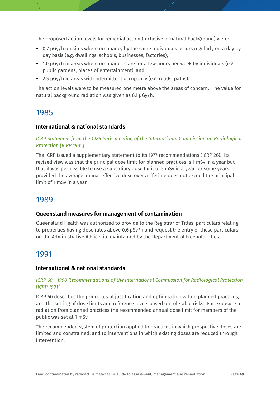The proposed action levels for remedial action (inclusive of natural background) were:

- 0.7 µGy/h on sites where occupancy by the same individuals occurs regularly on a day by day basis (e.g. dwellings, schools, businesses, factories);
- $\cdot$  1.0  $\mu$ Gy/h in areas where occupancies are for a few hours per week by individuals (e.g. public gardens, places of entertainment); and
- 2.5 µGy/h in areas with intermittent occupancy (e.g. roads, paths).

The action levels were to be measured one metre above the areas of concern. The value for natural background radiation was given as 0.1 µGy/h.

### 1985

### **International & national standards**

#### *ICRP Statement from the 1985 Paris meeting of the International Commission on Radiological Protection [ICRP 1985]*

The ICRP issued a supplementary statement to its 1977 recommendations (ICRP 26). Its revised view was that the principal dose limit for planned practices is 1 mSv in a year but that it was permissible to use a subsidiary dose limit of 5 mSv in a year for some years provided the average annual effective dose over a lifetime does not exceed the principal limit of 1 mSv in a year.

### 1989

### **Queensland measures for management of contamination**

Queensland Health was authorized to provide to the Registrar of Titles, particulars relating to properties having dose rates above 0.6 µSv/h and request the entry of these particulars on the Administrative Advice file maintained by the Department of Freehold Titles.

### 1991

### **International & national standards**

#### *ICRP 60 - 1990 Recommendations of the International Commission for Radiological Protection [ICRP 1991]*

ICRP 60 describes the principles of justification and optimisation within planned practices, and the setting of dose limits and reference levels based on tolerable risks. For exposure to radiation from planned practices the recommended annual dose limit for members of the public was set at 1 mSv.

The recommended system of protection applied to practices in which prospective doses are limited and constrained, and to interventions in which existing doses are reduced through intervention.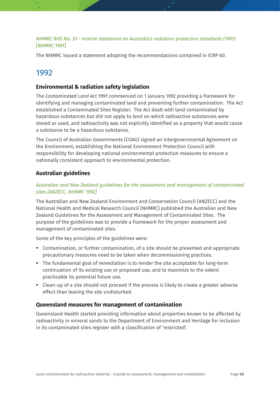### *NHMRC RHS No. 33 - Interim statement on Australia's radiation protection standards (1991) [NHMRC 1991]*

The NHMRC issued a statement adopting the recommendations contained in ICRP 60.

### 1992

### **Environmental & radiation safety legislation**

The *Contaminated Land Act 1991* commenced on 1 January 1992 providing a framework for identifying and managing contaminated land and preventing further contamination. The Act established a Contaminated Sites Register. The Act dealt with land contaminated by hazardous substances but did not apply to land on which radioactive substances were stored or used, and radioactivity was not explicitly identified as a property that would cause a substance to be a hazardous substance.

The Council of Australian Governments (COAG) signed an Intergovernmental Agreement on the Environment, establishing the National Environment Protection Council with responsibility for developing national environmental protection measures to ensure a nationally consistent approach to environmental protection.

### **Australian guidelines**

#### *Australian and New Zealand guidelines for the assessment and management of contaminated sites [ANZECC, NHRMC 1992]*

The Australian and New Zealand Environment and Conservation Council (ANZECC) and the National Health and Medical Research Council (NHMRC) published the Australian and New Zealand Guidelines for the Assessment and Management of Contaminated Sites. The purpose of the guidelines was to provide a framework for the proper assessment and management of contaminated sites.

Some of the key principles of the guidelines were:

- Contamination, or further contamination, of a site should be prevented and appropriate precautionary measures need to be taken when decommissioning practices.
- The fundamental goal of remediation is to render the site acceptable for long-term continuation of its existing use or proposed use, and to maximize to the extent practicable its potential future use.
- Clean-up of a site should not proceed if the process is likely to create a greater adverse effect than leaving the site undisturbed.

#### **Queensland measures for management of contamination**

Queensland Health started providing information about properties known to be affected by radioactivity in mineral sands to the Department of Environment and Heritage for inclusion in its contaminated sites register with a classification of 'restricted'.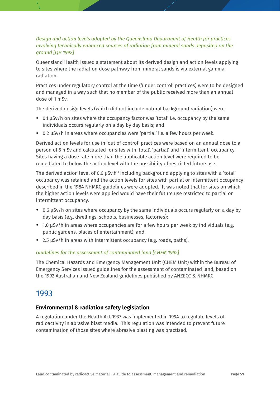### *Design and action levels adopted by the Queensland Department of Health for practices involving technically enhanced sources of radiation from mineral sands deposited on the ground [QH 1992]*

Queensland Health issued a statement about its derived design and action levels applying to sites where the radiation dose pathway from mineral sands is via external gamma radiation.

Practices under regulatory control at the time ('under control' practices) were to be designed and managed in a way such that no member of the public received more than an annual dose of 1 mSv.

The derived design levels (which did not include natural background radiation) were:

- 0.1 µSv/h on sites where the occupancy factor was 'total' i.e. occupancy by the same individuals occurs regularly on a day by day basis; and
- 0.2 µSv/h in areas where occupancies were 'partial' i.e. a few hours per week.

Derived action levels for use in 'out of control' practices were based on an annual dose to a person of 5 mSv and calculated for sites with 'total', 'partial' and 'intermittent' occupancy. Sites having a dose rate more than the applicable action level were required to be remediated to below the action level with the possibility of restricted future use.

The derived action level of 0.6 µSv.h<sup>-1</sup> including background applying to sites with a 'total' occupancy was retained and the action levels for sites with partial or intermittent occupancy described in the 1984 NHMRC guidelines were adopted. It was noted that for sites on which the higher action levels were applied would have their future use restricted to partial or intermittent occupancy.

- 0.6 µSv/h on sites where occupancy by the same individuals occurs regularly on a day by day basis (e.g. dwellings, schools, businesses, factories);
- 1.0 µSv/h in areas where occupancies are for a few hours per week by individuals (e.g. public gardens, places of entertainment); and
- 2.5 µSv/h in areas with intermittent occupancy (e.g. roads, paths).

#### *Guidelines for the assessment of contaminated land [CHEM 1992]*

The Chemical Hazards and Emergency Management Unit (CHEM Unit) within the Bureau of Emergency Services issued guidelines for the assessment of contaminated land, based on the 1992 Australian and New Zealand guidelines published by ANZECC & NHMRC.

### 1993

#### **Environmental & radiation safety legislation**

A regulation under the Health Act 1937 was implemented in 1994 to regulate levels of radioactivity in abrasive blast media. This regulation was intended to prevent future contamination of those sites where abrasive blasting was practised.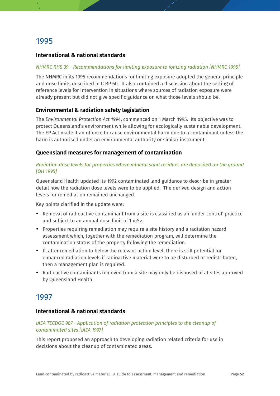#### **International & national standards**

#### *NHMRC RHS 39 - Recommendations for limiting exposure to ionizing radiation [NHMRC 1995]*

The NHMRC in its 1995 recommendations for limiting exposure adopted the general principle and dose limits described in ICRP 60. It also contained a discussion about the setting of reference levels for intervention in situations where sources of radiation exposure were already present but did not give specific guidance on what those levels should be.

#### **Environmental & radiation safety legislation**

The *Environmental Protection Act 1994*, commenced on 1 March 1995. Its objective was to protect Queensland's environment while allowing for ecologically sustainable development. The EP Act made it an offence to cause environmental harm due to a contaminant unless the harm is authorised under an environmental authority or similar instrument.

#### **Queensland measures for management of contamination**

#### *Radiation dose levels for properties where mineral sand residues are deposited on the ground [QH 1995]*

Queensland Health updated its 1992 contaminated land guidance to describe in greater detail how the radiation dose levels were to be applied. The derived design and action levels for remediation remained unchanged.

Key points clarified in the update were:

- Removal of radioactive contaminant from a site is classified as an 'under control' practice and subject to an annual dose limit of 1 mSv.
- Properties requiring remediation may require a site history and a radiation hazard assessment which, together with the remediation program, will determine the contamination status of the property following the remediation.
- If, after remediation to below the relevant action level, there is still potential for enhanced radiation levels if radioactive material were to be disturbed or redistributed, then a management plan is required.
- Radioactive contaminants removed from a site may only be disposed of at sites approved by Queensland Health.

### 1997

### **International & national standards**

#### *IAEA TECDOC 987 - Application of radiation protection principles to the cleanup of contaminated sites [IAEA 1997]*

This report proposed an approach to developing radiation related criteria for use in decisions about the cleanup of contaminated areas.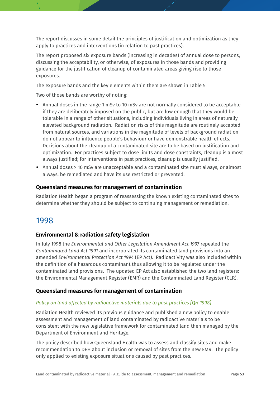The report discusses in some detail the principles of justification and optimization as they apply to practices and interventions (in relation to past practices).

The report proposed six exposure bands (increasing in decades) of annual dose to persons, discussing the acceptability, or otherwise, of exposures in those bands and providing guidance for the justification of cleanup of contaminated areas giving rise to those exposures.

The exposure bands and the key elements within them are shown in Table 5.

Two of those bands are worthy of noting:

- Annual doses in the range 1 mSv to 10 mSv are not normally considered to be acceptable if they are deliberately imposed on the public, but are low enough that they would be tolerable in a range of other situations, including individuals living in areas of naturally elevated background radiation. Radiation risks of this magnitude are routinely accepted from natural sources, and variations in the magnitude of levels of background radiation do not appear to influence people's behaviour or have demonstrable health effects. Decisions about the cleanup of a contaminated site are to be based on justification and optimization. For practices subject to dose limits and dose constraints, cleanup is almost always justified; for interventions in past practices, cleanup is usually justified.
- Annual doses > 10 mSv are unacceptable and a contaminated site must always, or almost always, be remediated and have its use restricted or prevented.

### **Queensland measures for management of contamination**

Radiation Health began a program of reassessing the known existing contaminated sites to determine whether they should be subject to continuing management or remediation.

### 1998

### **Environmental & radiation safety legislation**

In July 1998 the *Environmental and Other Legislation Amendment Act 1997* repealed the *Contaminated Land Act 1991* and incorporated its contaminated land provisions into an amended *Environmental Protection Act 1994* (EP Act). Radioactivity was also included within the definition of a hazardous contaminant thus allowing it to be regulated under the contaminated land provisions. The updated EP Act also established the two land registers: the Environmental Management Register (EMR) and the Contaminated Land Register (CLR).

### **Queensland measures for management of contamination**

### *Policy on land affected by radioactive materials due to past practices [QH 1998]*

Radiation Health reviewed its previous guidance and published a new policy to enable assessment and management of land contaminated by radioactive materials to be consistent with the new legislative framework for contaminated land then managed by the Department of Environment and Heritage.

The policy described how Queensland Health was to assess and classify sites and make recommendation to DEH about inclusion or removal of sites from the new EMR. The policy only applied to existing exposure situations caused by past practices.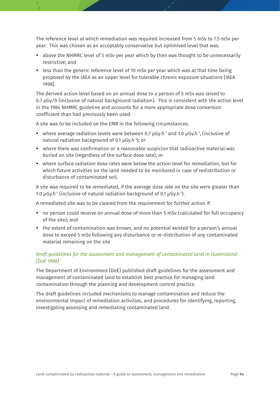The reference level at which remediation was required increased from 5 mSv to 7.5 mSv per year. This was chosen as an acceptably conservative but optimised level that was:

- above the NHMRC level of 5 mSv per year which by then was thought to be unnecessarily restrictive; and
- less than the generic reference level of 10 mSv per year which was at that time being proposed by the IAEA as an upper level for tolerable chronic exposure situations [IAEA 1998].

The derived action level based on an annual dose to a person of 5 mSv was raised to 0.7 µGy/h (inclusive of natural background radiation). This is consistent with the action level in the 1984 NHMRC guideline and accounts for a more appropriate dose conversion coefficient than had previously been used.

A site was to be included on the EMR in the following circumstances:

- where average radiation levels were between 0.7  $\mu$ Gy.h<sup>-1</sup> and 1.0  $\mu$ Gy.h<sup>-1</sup>, (inclusive of natural radiation background of 0.1 µGy.h-1 ); or
- where there was confirmation or a reasonable suspicion that radioactive material was buried on site (regardless of the surface dose rate); or
- where surface radiation dose rates were below the action level for remediation, but for which future activities on the land needed to be monitored in case of redistribution or disturbance of contaminated soil.

A site was required to be remediated, if the average dose rate on the site were greater than 1.0 μGy.h<sup>-1</sup> (inclusive of natural radiation background of 0.1 μGy.h<sup>-1</sup>).

A remediated site was to be cleared from the requirement for further action if:

- no person could receive an annual dose of more than 5 mSv (calculated for full occupancy of the site); and
- the extent of contamination was known, and no potential existed for a person's annual dose to exceed 5 mSv following any disturbance or re-distribution of any contaminated material remaining on the site

#### *Draft guidelines for the assessment and management of contaminated land in Queensland [DoE 1998]*

The Department of Environment (DoE) published draft guidelines for the assessment and management of contaminated land to establish best practice for managing land contamination through the planning and development control practice.

The draft guidelines included mechanisms to manage contamination and reduce the environmental impact of remediation activities, and procedures for identifying, reporting, investigating assessing and remediating contaminated land.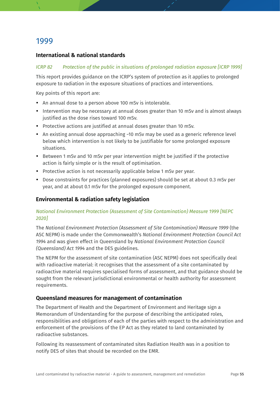### **International & national standards**

#### *ICRP 82 Protection of the public in situations of prolonged radiation exposure [ICRP 1999]*

This report provides guidance on the ICRP's system of protection as it applies to prolonged exposure to radiation in the exposure situations of practices and interventions.

Key points of this report are:

- An annual dose to a person above 100 mSv is intolerable.
- Intervention may be necessary at annual doses greater than 10 mSv and is almost always justified as the dose rises toward 100 mSv.
- Protective actions are justified at annual doses greater than 10 mSv.
- $\bullet$  An existing annual dose approaching ~10 mSv may be used as a generic reference level below which intervention is not likely to be justifiable for some prolonged exposure situations.
- Between 1 mSv and 10 mSv per year intervention might be justified if the protective action is fairly simple or is the result of optimisation.
- Protective action is not necessarily applicable below 1 mSv per year.
- Dose constraints for practices (planned exposures) should be set at about 0.3 mSv per year, and at about 0.1 mSv for the prolonged exposure component.

### **Environmental & radiation safety legislation**

#### *National Environment Protection (Assessment of Site Contamination) Measure 1999 [NEPC 2020]*

The *National Environment Protection (Assessment of Site Contamination) Measure 1999* (the ASC NEPM) is made under the Commonwealth's *National Environment Protection Council Act 1994* and was given effect in Queensland by *National Environment Protection Council (Queensland) Act 1994* and the DES guidelines.

The NEPM for the assessment of site contamination (ASC NEPM) does not specifically deal with radioactive material: it recognises that the assessment of a site contaminated by radioactive material requires specialised forms of assessment, and that guidance should be sought from the relevant jurisdictional environmental or health authority for assessment requirements.

#### **Queensland measures for management of contamination**

The Department of Health and the Department of Environment and Heritage sign a Memorandum of Understanding for the purpose of describing the anticipated roles, responsibilities and obligations of each of the parties with respect to the administration and enforcement of the provisions of the EP Act as they related to land contaminated by radioactive substances.

Following its reassessment of contaminated sites Radiation Health was in a position to notify DES of sites that should be recorded on the EMR.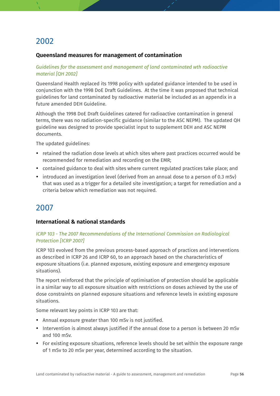### **Queensland measures for management of contamination**

#### *Guidelines for the assessment and management of land contaminated wth radioactive material [QH 2002]*

Queensland Health replaced its 1998 policy with updated guidance intended to be used in conjunction with the 1998 DoE Draft Guidelines. At the time it was proposed that technical guidelines for land contaminated by radioactive material be included as an appendix in a future amended DEH Guideline.

Although the 1998 DoE Draft Guidelines catered for radioactive contamination in general terms, there was no radiation-specific guidance (similar to the ASC NEPM). The updated QH guideline was designed to provide specialist input to supplement DEH and ASC NEPM documents.

The updated guidelines:

- retained the radiation dose levels at which sites where past practices occurred would be recommended for remediation and recording on the EMR;
- contained guidance to deal with sites where current regulated practices take place; and
- introduced an investigation level (derived from an annual dose to a person of 0.3 mSv) that was used as a trigger for a detailed site investigation; a target for remediation and a criteria below which remediation was not required.

### 2007

#### **International & national standards**

#### *ICRP 103 - The 2007 Recommendations of the International Commission on Radiological Protection [ICRP 2007]*

ICRP 103 evolved from the previous process-based approach of practices and interventions as described in ICRP 26 and ICRP 60, to an approach based on the characteristics of exposure situations (i.e. planned exposure, existing exposure and emergency exposure situations).

The report reinforced that the principle of optimisation of protection should be applicable in a similar way to all exposure situation with restrictions on doses achieved by the use of dose constraints on planned exposure situations and reference levels in existing exposure situations.

Some relevant key points in ICRP 103 are that:

- Annual exposure greater than 100 mSv is not justified.
- Intervention is almost always justified if the annual dose to a person is between 20 mSv and 100 mSv.
- For existing exposure situations, reference levels should be set within the exposure range of 1 mSv to 20 mSv per year, determined according to the situation.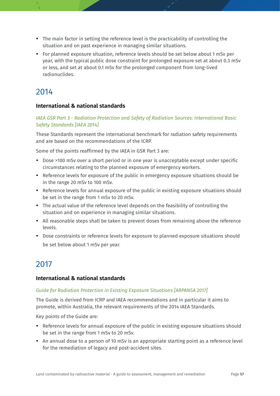- The main factor in setting the reference level is the practicability of controlling the situation and on past experience in managing similar situations.
- For planned exposure situation, reference levels should be set below about 1 mSv per year, with the typical public dose constraint for prolonged exposure set at about 0.3 mSv or less, and set at about 0.1 mSv for the prolonged component from long-lived radionuclides.

### **International & national standards**

### *IAEA GSR Part 3 - Radiation Protection and Safety of Radiation Sources: International Basic Safety Standards [IAEA 2014]*

These Standards represent the international benchmark for radiation safety requirements and are based on the recommendations of the ICRP.

Some of the points reaffirmed by the IAEA in GSR Part 3 are:

- Dose >100 mSv over a short period or in one year is unacceptable except under specific circumstances relating to the planned exposure of emergency workers.
- Reference levels for exposure of the public in emergency exposure situations should be in the range 20 mSv to 100 mSv.
- Reference levels for annual exposure of the public in existing exposure situations should be set in the range from 1 mSv to 20 mSv.
- The actual value of the reference level depends on the feasibility of controlling the situation and on experience in managing similar situations.
- All reasonable steps shall be taken to prevent doses from remaining above the reference levels.
- Dose constraints or reference levels for exposure to planned exposure situations should be set below about 1 mSv per year.

### 2017

### **International & national standards**

### *Guide for Radiation Protection in Existing Exposure Situations [ARPANSA 2017]*

The Guide is derived from ICRP and IAEA recommendations and in particular it aims to promote, within Australia, the relevant requirements of the 2014 IAEA Standards.

Key points of the Guide are:

- Reference levels for annual exposure of the public in existing exposure situations should be set in the range from 1 mSv to 20 mSv.
- An annual dose to a person of 10 mSv is an appropriate starting point as a reference level for the remediation of legacy and post-accident sites.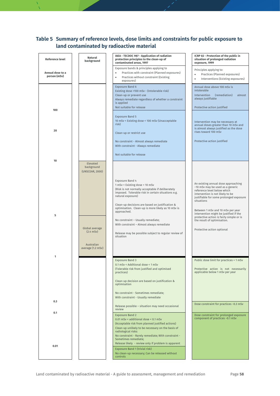### <span id="page-57-0"></span>**Table 5 Summary of reference levels, dose limits and constraints for public exposure to land contaminated by radioactive material**

| <b>Reference level</b>           | Natural<br>background                     | IAEA - TECDOC 987 - Application of radiation<br>protection principles to the clean-up of<br>contaminated areas, 1997                                                                                                                                                                      | ICRP 82 - Protection of the public in<br>situation of prolonged radiation<br>exposure, 1999                                                                                                         |
|----------------------------------|-------------------------------------------|-------------------------------------------------------------------------------------------------------------------------------------------------------------------------------------------------------------------------------------------------------------------------------------------|-----------------------------------------------------------------------------------------------------------------------------------------------------------------------------------------------------|
| Annual dose to a<br>person (mSv) |                                           | Exposure bands & principles applying to<br>Practices with constraint (Planned exposures)<br>$\bullet$<br>Practices without constraint (Existing<br>$\bullet$<br>exposures)                                                                                                                | Principles applying to:<br>Practices (Planned exposures)<br>$\bullet$<br>Interventions (Existing exposures)<br>$\bullet$                                                                            |
|                                  |                                           | <b>Exposure Band 6</b><br>Existing dose >100 mSv - (Intolerable risk)<br>Clean-up or prevent use<br>Always remediate regardless of whether a constraint<br>is applied                                                                                                                     | Annual dose above 100 mSv is<br>intolerable<br>Intervention<br>(remediation)<br>almost<br>always justifiable                                                                                        |
| 100                              |                                           | Not suitable for release<br><b>Exposure Band 5</b><br>10 mSv < Existing dose < 100 mSv (Unacceptable                                                                                                                                                                                      | Protective action justified<br>Intervention may be necessary at                                                                                                                                     |
| 20                               |                                           | risk)<br>Clean-up or restrict use                                                                                                                                                                                                                                                         | annual doses greater than 10 mSv and<br>is almost always justified as the dose<br>rises toward 100 mSv                                                                                              |
|                                  |                                           | No constraint - Almost always remediate<br>With constraint - Always remediate<br>Not suitable for release                                                                                                                                                                                 | Protective action justified                                                                                                                                                                         |
| 10                               | Elevated<br>background<br>(UNSCEAR, 2000) |                                                                                                                                                                                                                                                                                           |                                                                                                                                                                                                     |
|                                  |                                           | Exposure Band 4<br>1 mSv < Existing dose < 10 mSv<br>(Risk is not normally acceptable if deliberately<br>imposed. Tolerable risk in certain situations e.g.<br>natural exposure)<br>Clean-up decisions are based on justification &<br>optimisation. Clean-up is more likely as 10 mSv is | An existing annual dose approaching<br>~10 mSv may be used as a generic<br>reference level below which<br>intervention is not likely to be<br>justifiable for some prolonged exposure<br>situations |
| 5                                | Global average<br>$(2.4$ mSv $)$          | approached.<br>No constraint - Usually remediate;<br>With constraint - Almost always remediate<br>Release may be possible subject to regular review of<br>situation                                                                                                                       | Between 1 mSv and 10 mSv per year<br>intervention might be justified if the<br>protective action is fairly simple or is<br>the result of optimisation.<br>Protective action optional                |
| 1                                | Australian<br>average (1.2 mSv)           |                                                                                                                                                                                                                                                                                           |                                                                                                                                                                                                     |
|                                  |                                           | <b>Exposure Band 3</b><br>0.1 mSv < Additional dose < 1 mSv<br>(Tolerable risk from justified and optimised<br>practices)<br>Clean-up decision are based on justification &                                                                                                               | Public dose limit for practices = 1 mSv<br>Protective action is not necessarily<br>applicable below 1 mSv per year                                                                                  |
|                                  |                                           | optimisation<br>No constraint - Sometimes remediate;<br>With constraint - Usually remediate                                                                                                                                                                                               |                                                                                                                                                                                                     |
| 0.3                              |                                           | Release possible - situation may need occasional<br>review                                                                                                                                                                                                                                | Dose constraint for practices ~0.3 mSv                                                                                                                                                              |
| 0.1                              |                                           | <b>Exposure Band 2</b><br>0.01 mSv < additional dose < 0.1 mSv<br>(Acceptable risk from planned justified actions)<br>Clean-up unlikely to be necessary on the basis of<br>radiological risks:<br>No constraint - Rarely remediate; With constraint -<br>Sometimes remediate;             | Dose constraint for prolonged exposure<br>component of practices ~0.1 mSv                                                                                                                           |
| 0.01                             |                                           | Release likely - review only if problem is apparent<br>Exposure Band 1 (trivial risk)<br>No clean-up necessary; Can be released without<br>controls                                                                                                                                       |                                                                                                                                                                                                     |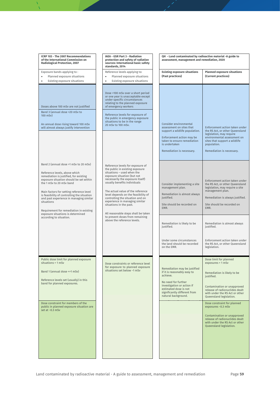| <b>ICRP 103 - The 2007 Recommendations</b><br>of the International Commission on<br>Radiological Protection, 2007                                                                                                                                                                                                                                                                                                                                      | IAEA - GSR Part 3 - Radiation<br>protection and safety of radiation<br>sources: International basic safety<br>standards, 2014                                                                                                                                                                                                                                                                                                                                                              | QH - Land contaminated by radioactive material -A guide to<br>assessment, management and remediation, 2020                                                                                                                                                  |                                                                                                                                                                                                                                                                                                                                                                                                           |
|--------------------------------------------------------------------------------------------------------------------------------------------------------------------------------------------------------------------------------------------------------------------------------------------------------------------------------------------------------------------------------------------------------------------------------------------------------|--------------------------------------------------------------------------------------------------------------------------------------------------------------------------------------------------------------------------------------------------------------------------------------------------------------------------------------------------------------------------------------------------------------------------------------------------------------------------------------------|-------------------------------------------------------------------------------------------------------------------------------------------------------------------------------------------------------------------------------------------------------------|-----------------------------------------------------------------------------------------------------------------------------------------------------------------------------------------------------------------------------------------------------------------------------------------------------------------------------------------------------------------------------------------------------------|
| Exposure bands applying to:<br>Planned exposure situations<br>$\bullet$<br>Existing exposure situations                                                                                                                                                                                                                                                                                                                                                | Reference levels applying to:<br>Planned exposure situations<br>$\bullet$<br>$\bullet$<br>Existing exposure situations                                                                                                                                                                                                                                                                                                                                                                     | <b>Existing exposure situations</b><br>(Past practices)                                                                                                                                                                                                     | <b>Planned exposure situations</b><br>(Current practices)                                                                                                                                                                                                                                                                                                                                                 |
| Doses above 100 mSv are not justified<br>Band 3 (annual dose >20 mSv to<br>100 mSv)<br>An annual dose rising toward 100 mSv<br>will almost always justify intervention                                                                                                                                                                                                                                                                                 | Dose >100 mSv over a short period<br>or one year is unacceptable except<br>under specific circumstances<br>relating to the planned exposure<br>of emergency workers<br>Reference levels for exposure of<br>the public in emergency exposure<br>situations to be in the range<br>20 mSv to 100 mSv.                                                                                                                                                                                         | Consider environmental<br>assessment on sites that<br>support a wildlife population.<br>Enforcement action may be<br>taken to ensure remediation<br>is undertaken<br>Remediation is necessary.                                                              | Enforcement action taken under<br>the RS Act, or other Queensland<br>legislation, may require<br>environmental assessment on<br>sites that support a wildlife<br>population.<br>Remediation is necessary.                                                                                                                                                                                                 |
| Band 2 (annual dose >1 mSv to 20 mSv)<br>Reference levels, above which<br>remediation is justified, for existing<br>exposure situation should be set within<br>the 1 mSy to 20 mSy hand<br>Main factors for setting reference level<br>is feasibility of controlling the situation<br>and past experience in managing similar<br>situations<br>Requirement for remediation in existing<br>exposure situations is determined<br>according to situation. | Reference levels for exposure of<br>the public in existing exposure<br>situations - used when the<br>exposure situation (but not<br>necessarily the exposure itself)<br>usually benefits individuals<br>The actual value of the reference<br>level depends on the feasibility of<br>controlling the situation and on<br>experience in managing similar<br>situations in the past.<br>All reasonable steps shall be taken<br>to prevent doses from remaining<br>above the reference levels. | Consider implementing a site<br>management plan.<br>Remediation is almost always<br>justified.<br>Site should be recorded on<br>EMR.<br>Remediation is likely to be<br>justified.<br>Under some circumstances<br>the land should be recorded<br>on the EMR. | Enforcement action taken under<br>the RS Act, or other Queensland<br>legislation, may require a site<br>management plan.<br>Remediation is always justified.<br>Site should be recorded on<br>EMR.<br>Remediation is almost always<br>justified.<br>Enforcement action taken under<br>the RS Act, or other Queensland<br>legislation.                                                                     |
| Public dose limit for planned exposure<br>situations = 1 mSv<br>Band 1 (annual dose <= 1 mSv)<br>Reference levels set (usually) in this<br>band for planned exposures.<br>Dose constraint for members of the<br>public in planned exposure situation are<br>set at $~0.3$ mSv                                                                                                                                                                          | Dose constraints or reference level<br>for exposure to planned exposure<br>situations set below ~1 mSv                                                                                                                                                                                                                                                                                                                                                                                     | Remediation may be justified<br>if it is reasonably easy to<br>achieve.<br>No need for further<br>investigation or action if<br>estimated dose is not<br>significantly different from<br>natural background.                                                | Dose limit for planned<br>exposures = 1 mSv<br>Remediation is likely to be<br>justified.<br>Contamination or unapproved<br>release of radionuclides dealt<br>with under the RS Act or other<br>Queensland legislation.<br>Dose constraint for planned<br>exposures ~0.3 mSv<br>Contamination or unapproved<br>release of radionuclides dealt<br>with under the RS Act or other<br>Queensland legislation. |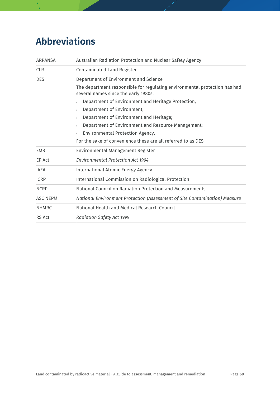## <span id="page-59-0"></span>**Abbreviations**

| <b>ARPANSA</b>  | Australian Radiation Protection and Nuclear Safety Agency                                                          |  |
|-----------------|--------------------------------------------------------------------------------------------------------------------|--|
| <b>CLR</b>      | Contaminated Land Register                                                                                         |  |
| <b>DES</b>      | Department of Environment and Science                                                                              |  |
|                 | The department responsible for regulating environmental protection has had<br>several names since the early 1980s: |  |
|                 | Department of Environment and Heritage Protection,                                                                 |  |
|                 | Department of Environment;                                                                                         |  |
|                 | Department of Environment and Heritage;                                                                            |  |
|                 | Department of Environment and Resource Management;                                                                 |  |
|                 | Environmental Protection Agency.                                                                                   |  |
|                 | For the sake of convenience these are all referred to as DES                                                       |  |
| <b>EMR</b>      | Environmental Management Register                                                                                  |  |
| <b>EP Act</b>   | <b>Environmental Protection Act 1994</b>                                                                           |  |
| <b>IAEA</b>     | International Atomic Energy Agency                                                                                 |  |
| <b>ICRP</b>     | International Commission on Radiological Protection                                                                |  |
| <b>NCRP</b>     | National Council on Radiation Protection and Measurements                                                          |  |
| <b>ASC NEPM</b> | National Environment Protection (Assessment of Site Contamination) Measure                                         |  |
| <b>NHMRC</b>    | National Health and Medical Research Council                                                                       |  |
| <b>RS Act</b>   | <b>Radiation Safety Act 1999</b>                                                                                   |  |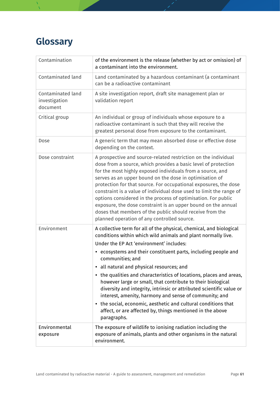## <span id="page-60-0"></span>**Glossary**

| Contamination                                  | of the environment is the release (whether by act or omission) of<br>a contaminant into the environment.                                                                                                                                                                                                                                                                                                                                                                                                                                                                                                                                                                                                                                  |
|------------------------------------------------|-------------------------------------------------------------------------------------------------------------------------------------------------------------------------------------------------------------------------------------------------------------------------------------------------------------------------------------------------------------------------------------------------------------------------------------------------------------------------------------------------------------------------------------------------------------------------------------------------------------------------------------------------------------------------------------------------------------------------------------------|
| Contaminated land                              | Land contaminated by a hazardous contaminant (a contaminant<br>can be a radioactive contaminant                                                                                                                                                                                                                                                                                                                                                                                                                                                                                                                                                                                                                                           |
| Contaminated land<br>investigation<br>document | A site investigation report, draft site management plan or<br>validation report                                                                                                                                                                                                                                                                                                                                                                                                                                                                                                                                                                                                                                                           |
| Critical group                                 | An individual or group of individuals whose exposure to a<br>radioactive contaminant is such that they will receive the<br>greatest personal dose from exposure to the contaminant.                                                                                                                                                                                                                                                                                                                                                                                                                                                                                                                                                       |
| Dose                                           | A generic term that may mean absorbed dose or effective dose<br>depending on the context.                                                                                                                                                                                                                                                                                                                                                                                                                                                                                                                                                                                                                                                 |
| Dose constraint                                | A prospective and source-related restriction on the individual<br>dose from a source, which provides a basic level of protection<br>for the most highly exposed individuals from a source, and<br>serves as an upper bound on the dose in optimisation of<br>protection for that source. For occupational exposures, the dose<br>constraint is a value of individual dose used to limit the range of<br>options considered in the process of optimisation. For public<br>exposure, the dose constraint is an upper bound on the annual<br>doses that members of the public should receive from the<br>planned operation of any controlled source.                                                                                         |
| Environment                                    | A collective term for all of the physical, chemical, and biological<br>conditions within which wild animals and plant normally live.<br>Under the EP Act 'environment' includes:<br>• ecosystems and their constituent parts, including people and<br>communities; and<br>· all natural and physical resources; and<br>• the qualities and characteristics of locations, places and areas,<br>however large or small, that contribute to their biological<br>diversity and integrity, intrinsic or attributed scientific value or<br>interest, amenity, harmony and sense of community; and<br>• the social, economic, aesthetic and cultural conditions that<br>affect, or are affected by, things mentioned in the above<br>paragraphs. |
| Environmental<br>exposure                      | The exposure of wildlife to ionising radiation including the<br>exposure of animals, plants and other organisms in the natural<br>environment.                                                                                                                                                                                                                                                                                                                                                                                                                                                                                                                                                                                            |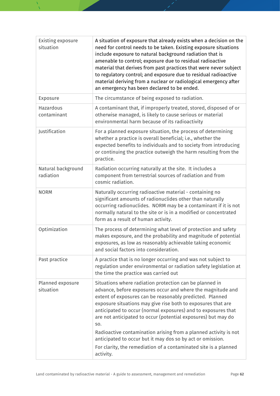| <b>Existing exposure</b><br>situation | A situation of exposure that already exists when a decision on the<br>need for control needs to be taken. Existing exposure situations<br>include exposure to natural background radiation that is<br>amenable to control; exposure due to residual radioactive<br>material that derives from past practices that were never subject<br>to regulatory control; and exposure due to residual radioactive<br>material deriving from a nuclear or radiological emergency after<br>an emergency has been declared to be ended.                                                                                     |
|---------------------------------------|----------------------------------------------------------------------------------------------------------------------------------------------------------------------------------------------------------------------------------------------------------------------------------------------------------------------------------------------------------------------------------------------------------------------------------------------------------------------------------------------------------------------------------------------------------------------------------------------------------------|
| Exposure                              | The circumstance of being exposed to radiation.                                                                                                                                                                                                                                                                                                                                                                                                                                                                                                                                                                |
| Hazardous<br>contaminant              | A contaminant that, if improperly treated, stored, disposed of or<br>otherwise managed, is likely to cause serious or material<br>environmental harm because of its radioactivity                                                                                                                                                                                                                                                                                                                                                                                                                              |
| Justification                         | For a planned exposure situation, the process of determining<br>whether a practice is overall beneficial; i.e., whether the<br>expected benefits to individuals and to society from introducing<br>or continuing the practice outweigh the harm resulting from the<br>practice.                                                                                                                                                                                                                                                                                                                                |
| Natural background<br>radiation       | Radiation occurring naturally at the site. It includes a<br>component from terrestrial sources of radiation and from<br>cosmic radiation.                                                                                                                                                                                                                                                                                                                                                                                                                                                                      |
| <b>NORM</b>                           | Naturally occurring radioactive material - containing no<br>significant amounts of radionuclides other than naturally<br>occurring radionuclides. NORM may be a contaminant if it is not<br>normally natural to the site or is in a modified or concentrated<br>form as a result of human activity.                                                                                                                                                                                                                                                                                                            |
| Optimization                          | The process of determining what level of protection and safety<br>makes exposure, and the probability and magnitude of potential<br>exposures, as low as reasonably achievable taking economic<br>and social factors into consideration.                                                                                                                                                                                                                                                                                                                                                                       |
| Past practice                         | A practice that is no longer occurring and was not subject to<br>regulation under environmental or radiation safety legislation at<br>the time the practice was carried out                                                                                                                                                                                                                                                                                                                                                                                                                                    |
| Planned exposure<br>situation         | Situations where radiation protection can be planned in<br>advance, before exposures occur and where the magnitude and<br>extent of exposures can be reasonably predicted. Planned<br>exposure situations may give rise both to exposures that are<br>anticipated to occur (normal exposures) and to exposures that<br>are not anticipated to occur (potential exposures) but may do<br>SO.<br>Radioactive contamination arising from a planned activity is not<br>anticipated to occur but it may dos so by act or omission.<br>For clarity, the remediation of a contaminated site is a planned<br>activity. |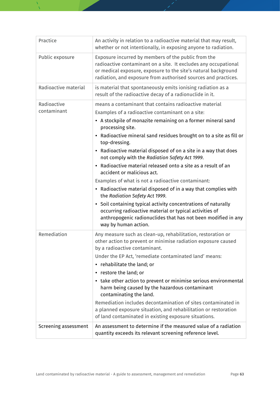| Practice                   | An activity in relation to a radioactive material that may result,<br>whether or not intentionally, in exposing anyone to radiation.                                                                                                                                                                                                                                                                                                                                                                                                                                                                                                                                                                                                                                                                                                                                                                             |
|----------------------------|------------------------------------------------------------------------------------------------------------------------------------------------------------------------------------------------------------------------------------------------------------------------------------------------------------------------------------------------------------------------------------------------------------------------------------------------------------------------------------------------------------------------------------------------------------------------------------------------------------------------------------------------------------------------------------------------------------------------------------------------------------------------------------------------------------------------------------------------------------------------------------------------------------------|
| Public exposure            | Exposure incurred by members of the public from the<br>radioactive contaminant on a site. It excludes any occupational<br>or medical exposure, exposure to the site's natural background<br>radiation, and exposure from authorised sources and practices.                                                                                                                                                                                                                                                                                                                                                                                                                                                                                                                                                                                                                                                       |
| Radioactive material       | is material that spontaneously emits ionising radiation as a<br>result of the radioactive decay of a radionuclide in it.                                                                                                                                                                                                                                                                                                                                                                                                                                                                                                                                                                                                                                                                                                                                                                                         |
| Radioactive<br>contaminant | means a contaminant that contains radioactive material<br>Examples of a radioactive contaminant on a site:<br>• A stockpile of monazite remaining on a former mineral sand<br>processing site.<br>Radioactive mineral sand residues brought on to a site as fill or<br>$\bullet$<br>top-dressing.<br>Radioactive material disposed of on a site in a way that does<br>$\bullet$<br>not comply with the Radiation Safety Act 1999.<br>• Radioactive material released onto a site as a result of an<br>accident or malicious act.<br>Examples of what is not a radioactive contaminant:<br>• Radioactive material disposed of in a way that complies with<br>the Radiation Safety Act 1999.<br>• Soil containing typical activity concentrations of naturally<br>occurring radioactive material or typical activities of<br>anthropogenic radionuclides that has not been modified in any<br>way by human action. |
| Remediation                | Any measure such as clean-up, rehabilitation, restoration or<br>other action to prevent or minimise radiation exposure caused<br>by a radioactive contaminant.<br>Under the EP Act, 'remediate contaminated land' means:<br>• rehabilitate the land; or<br>• restore the land; or<br>• take other action to prevent or minimise serious environmental<br>harm being caused by the hazardous contaminant<br>contaminating the land.<br>Remediation includes decontamination of sites contaminated in<br>a planned exposure situation, and rehabilitation or restoration<br>of land contaminated in existing exposure situations.                                                                                                                                                                                                                                                                                  |
| Screening assessment       | An assessment to determine if the measured value of a radiation<br>quantity exceeds its relevant screening reference level.                                                                                                                                                                                                                                                                                                                                                                                                                                                                                                                                                                                                                                                                                                                                                                                      |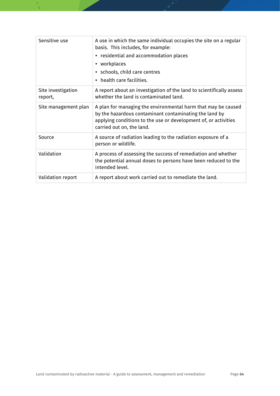| Sensitive use                 | A use in which the same individual occupies the site on a regular<br>basis. This includes, for example:<br>• residential and accommodation places<br>• workplaces<br>• schools, child care centres<br>• health care facilities. |
|-------------------------------|---------------------------------------------------------------------------------------------------------------------------------------------------------------------------------------------------------------------------------|
| Site investigation<br>report, | A report about an investigation of the land to scientifically assess<br>whether the land is contaminated land.                                                                                                                  |
| Site management plan          | A plan for managing the environmental harm that may be caused<br>by the hazardous contaminant contaminating the land by<br>applying conditions to the use or development of, or activities<br>carried out on, the land.         |
| Source                        | A source of radiation leading to the radiation exposure of a<br>person or wildlife.                                                                                                                                             |
| Validation                    | A process of assessing the success of remediation and whether<br>the potential annual doses to persons have been reduced to the<br>intended level.                                                                              |
| Validation report             | A report about work carried out to remediate the land.                                                                                                                                                                          |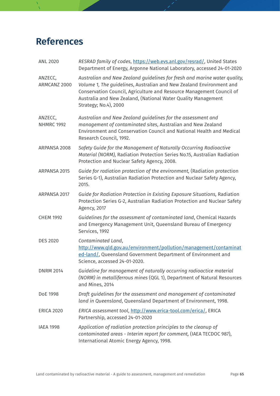## <span id="page-64-0"></span>**References**

| <b>ANL 2020</b>              | RESRAD family of codes, https://web.evs.anl.gov/resrad/, United States<br>Department of Energy, Argonne National Laboratory, accessed 24-01-2020                                                                                                                                                                    |
|------------------------------|---------------------------------------------------------------------------------------------------------------------------------------------------------------------------------------------------------------------------------------------------------------------------------------------------------------------|
| ANZECC,<br>ARMCANZ 2000      | Australian and New Zealand guidelines for fresh and marine water quality,<br>Volume 1, The guidelines, Australian and New Zealand Environment and<br>Conservation Council, Agriculture and Resource Management Council of<br>Australia and New Zealand, (National Water Quality Management<br>Strategy; No.4), 2000 |
| ANZECC,<br><b>NHMRC 1992</b> | Australian and New Zealand guidelines for the assessment and<br>management of contaminated sites, Australian and New Zealand<br>Environment and Conservation Council and National Health and Medical<br>Research Council, 1992.                                                                                     |
| ARPANSA 2008                 | Safety Guide for the Management of Naturally Occurring Radioactive<br>Material (NORM), Radiation Protection Series No.15, Australian Radiation<br>Protection and Nuclear Safety Agency, 2008.                                                                                                                       |
| ARPANSA 2015                 | Guide for radiation protection of the environment, (Radiation protection<br>Series G-1), Australian Radiation Protection and Nuclear Safety Agency,<br>2015.                                                                                                                                                        |
| ARPANSA 2017                 | Guide for Radiation Protection in Existing Exposure Situations, Radiation<br>Protection Series G-2, Australian Radiation Protection and Nuclear Safety<br><b>Agency, 2017</b>                                                                                                                                       |
| <b>CHEM 1992</b>             | Guidelines for the assessment of contaminated land, Chemical Hazards<br>and Emergency Management Unit, Queensland Bureau of Emergency<br>Services, 1992                                                                                                                                                             |
| <b>DES 2020</b>              | Contaminated Land,<br>http://www.qld.gov.au/environment/pollution/management/contaminat<br>ed-land/, Queensland Government Department of Environment and<br>Science, accessed 24-01-2020.                                                                                                                           |
| <b>DNRM 2014</b>             | Guideline for management of naturally occurring radioactice material<br>(NORM) in metalliferrous mines (QGL 1), Department of Natural Resources<br>and Mines, 2014                                                                                                                                                  |
| DoE 1998                     | Draft guidelines for the assessment and management of contaminated<br>land in Queensland, Queensland Department of Environment, 1998.                                                                                                                                                                               |
| <b>ERICA 2020</b>            | ERICA assessment tool, http://www.erica-tool.com/erica/, ERICA<br>Partnership, accessed 24-01-2020                                                                                                                                                                                                                  |
| <b>IAEA 1998</b>             | Application of radiation protection principles to the cleanup of<br>contaminated areas - Interim report for comment, (IAEA TECDOC 987),<br>International Atomic Energy Agency, 1998.                                                                                                                                |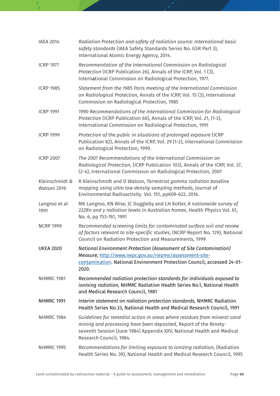| <b>IAEA 2014</b>              | Radiation Protection and safety of radiation source: International basic<br>safety standards (IAEA Safety Standards Series No. GSR Part 3),<br>International Atomic Energy Agency, 2014.                                                         |
|-------------------------------|--------------------------------------------------------------------------------------------------------------------------------------------------------------------------------------------------------------------------------------------------|
| <b>ICRP 1977</b>              | Recommendation of the International Commission on Radiological<br>Protection (ICRP Publication 26), Annals of the ICRP, Vol. 1 (3),<br>International Commission on Radiological Protection, 1977.                                                |
| <b>ICRP 1985</b>              | Statement from the 1985 Paris meeting of the International Commission<br>on Radiological Protection, Annals of the ICRP, Vol. 15 (3), International<br>Commission on Radiological Protection, 1985                                               |
| <b>ICRP 1991</b>              | 1990 Recommendations of the International Commission for Radiological<br>Protection (ICRP Publication 60), Annals of the ICRP, Vol. 21, (1-3),<br>International Commission on Radiological Protection, 1991                                      |
| <b>ICRP 1999</b>              | Protection of the public in situations of prolonged exposure (ICRP<br>Publication 82), Annals of the ICRP, Vol. 29 (1-2), International Commission<br>on Radiological Protection, 1999.                                                          |
| <b>ICRP 2007</b>              | The 2007 Recommendations of the International Commission on<br>Radiological Protection, (ICRP Publication 103), Annals of the ICRP, Vol. 37,<br>(2-4), International Commission on Radiological Protection, 2007                                 |
| Kleinschmidt &<br>Watson 2016 | R Kleinschmidt and D Watson, Terrestrial gamma radiation baseline<br>mapping using ultra low density sampling methods, Journal of<br>Environmental Radioactivity Vol. 151, pp609-622, 2016.                                                      |
| Langroo et al<br>1991         | MK Langroo, KN Wise, JC Duggleby and LH Kotler, A nationwide survey of<br>222Rn and y radiation levels in Australian homes, Health Physics Vol. 61,<br>No. 6, pp 753-761, 1991                                                                   |
| <b>NCRP 1999</b>              | Recommended screening limits for contaminated surface soil and review<br>of factors relevant to site-specific studies, (NCRP Report No. 129), National<br>Council on Radiation Protection and Measurements, 1999                                 |
| <b>UKEA 2020</b>              | National Environment Protection (Assessment of Site Contamination)<br>Measure, http://www.nepc.gov.au/nepms/assessment-site-<br>contamination. National Environment Protection Council, accessed 24-01-<br>2020.                                 |
| <b>NHMRC 1981</b>             | Recommended radiation protection standards for individuals exposed to<br>ionising radiation, NHMRC Radiation Health Series No.1, National Health<br>and Medical Research Council, 1981                                                           |
| <b>NHMRC 1991</b>             | Interim statement on radiation protection standards, NHMRC Radiation<br>Health Series No.33, National Health and Medical Research Council, 1991                                                                                                  |
| <b>NHMRC 1984</b>             | Guidelines for remedial action in areas where residues from mineral sand<br>mining and processing have been deposited, Report of the Ninety-<br>seventh Session (June 1984) Appendix XXV, National Health and Medical<br>Research Council, 1984. |
| <b>NHMRC 1995</b>             | Recommendations for limiting exposure to ionizing radiation, (Radiation<br>Health Series No. 39), National Health and Medical Research Council, 1995                                                                                             |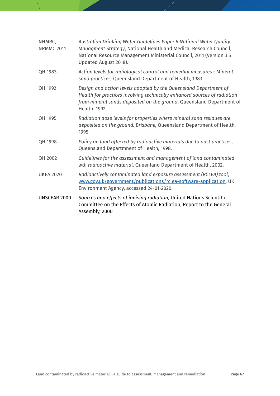| NHMRC,<br><b>NRMMC 2011</b> | Australian Drinking Water Guidelines Paper 6 National Water Quality<br>Managment Strategy, National Health and Medical Research Council,<br>National Resource Management Ministerial Council, 2011 (Version 3.5<br>Updated August 2018). |
|-----------------------------|------------------------------------------------------------------------------------------------------------------------------------------------------------------------------------------------------------------------------------------|
| QH 1983                     | Action levels for radiological control and remedial measures - Mineral<br>sand practices, Queensland Department of Health, 1983.                                                                                                         |
| QH 1992                     | Design and action levels adopted by the Queensland Department of<br>Health for practices involving technically enhanced sources of radiation<br>from mineral sands deposited on the ground, Queensland Department of<br>Health, 1992.    |
| QH 1995                     | Radiation dose levels for properties where mineral sand residues are<br>deposited on the ground. Brisbane, Queensland Department of Health,<br>1995.                                                                                     |
| QH 1998                     | Policy on land affected by radioactive materials due to past practices,<br>Queensland Departmnent of Health, 1998.                                                                                                                       |
| QH 2002                     | Guidelines for the assessment and management of land contaminated<br>wth radioactive material, Queenland Department of Health, 2002.                                                                                                     |
| <b>UKEA 2020</b>            | Radioactively contaminated land exposure assessment (RCLEA) tool,<br>www.gov.uk/government/publications/rclea-software-application, UK<br>Environment Agency, accessed 24-01-2020.                                                       |
| UNSCEAR 2000                | Sources and effects of ionising radiation, United Nations Scientific<br>Committee on the Effects of Atomic Radiation, Report to the General<br>Assembly, 2000                                                                            |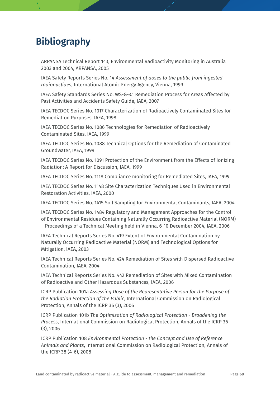## <span id="page-67-0"></span>**Bibliography**

ARPANSA Technical Report 143, Environmental Radioactivity Monitoring in Australia 2003 and 2004, ARPANSA, 2005

IAEA Safety Reports Series No. 14 *Assessment of doses to the public from ingested radionuclides*, International Atomic Energy Agency, Vienna, 1999

IAEA Safety Standards Series No. WS-G-3.1 Remediation Process for Areas Affected by Past Activities and Accidents Safety Guide, IAEA, 2007

IAEA TECDOC Series No. 1017 Characterization of Radioactively Contaminated Sites for Remediation Purposes, IAEA, 1998

IAEA TECDOC Series No. 1086 Technologies for Remediation of Radioactively Contaminated Sites, IAEA, 1999

IAEA TECDOC Series No. 1088 Technical Options for the Remediation of Contaminated Groundwater, IAEA, 1999

IAEA TECDOC Series No. 1091 Protection of the Environment from the Effects of Ionizing Radiation: A Report for Discussion, IAEA, 1999

IAEA TECDOC Series No. 1118 Compliance monitoring for Remediated Sites, IAEA, 1999

IAEA TECDOC Series No. 1148 Site Characterization Techniques Used in Environmental Restoration Activities, IAEA, 2000

IAEA TECDOC Series No. 1415 Soil Sampling for Environmental Contaminants, IAEA, 2004

IAEA TECDOC Series No. 1484 Regulatory and Management Approaches for the Control of Environmental Residues Containing Naturally Occurring Radioactive Material (NORM) – Proceedings of a Technical Meeting held in Vienna, 6-10 December 2004, IAEA, 2006

IAEA Technical Reports Series No. 419 Extent of Environmental Contamination by Naturally Occurring Radioactive Material (NORM) and Technological Options for Mitigation, IAEA, 2003

IAEA Technical Reports Series No. 424 Remediation of Sites with Dispersed Radioactive Contamination, IAEA, 2004

IAEA Technical Reports Series No. 442 Remediation of Sites with Mixed Contamination of Radioactive and Other Hazardous Substances, IAEA, 2006

ICRP Publication 101a *Assessing Dose of the Representative Person for the Purpose of the Radiation Protection of the Public*, International Commission on Radiological Protection, Annals of the ICRP 36 (3), 2006

ICRP Publication 101b *The Optimisation of Radiological Protection - Broadening the Process*, International Commission on Radiological Protection, Annals of the ICRP 36 (3), 2006

ICRP Publication 108 *Environmental Protection - the Concept and Use of Reference Animals and Plants*, International Commission on Radiological Protection, Annals of the ICRP 38 (4-6), 2008